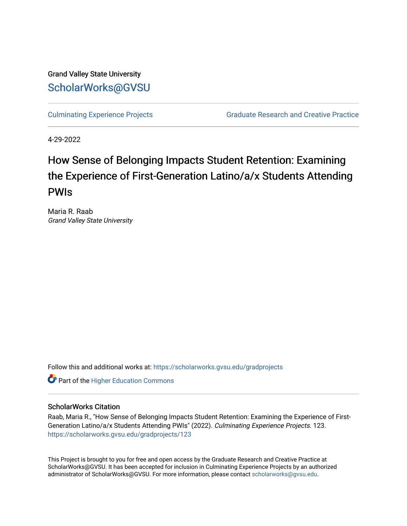Grand Valley State University [ScholarWorks@GVSU](https://scholarworks.gvsu.edu/) 

[Culminating Experience Projects](https://scholarworks.gvsu.edu/gradprojects) [Graduate Research and Creative Practice](https://scholarworks.gvsu.edu/grcp) 

4-29-2022

# How Sense of Belonging Impacts Student Retention: Examining the Experience of First-Generation Latino/a/x Students Attending PWIs

Maria R. Raab Grand Valley State University

Follow this and additional works at: [https://scholarworks.gvsu.edu/gradprojects](https://scholarworks.gvsu.edu/gradprojects?utm_source=scholarworks.gvsu.edu%2Fgradprojects%2F123&utm_medium=PDF&utm_campaign=PDFCoverPages) 

**Part of the Higher Education Commons** 

#### ScholarWorks Citation

Raab, Maria R., "How Sense of Belonging Impacts Student Retention: Examining the Experience of First-Generation Latino/a/x Students Attending PWIs" (2022). Culminating Experience Projects. 123. [https://scholarworks.gvsu.edu/gradprojects/123](https://scholarworks.gvsu.edu/gradprojects/123?utm_source=scholarworks.gvsu.edu%2Fgradprojects%2F123&utm_medium=PDF&utm_campaign=PDFCoverPages) 

This Project is brought to you for free and open access by the Graduate Research and Creative Practice at ScholarWorks@GVSU. It has been accepted for inclusion in Culminating Experience Projects by an authorized administrator of ScholarWorks@GVSU. For more information, please contact [scholarworks@gvsu.edu](mailto:scholarworks@gvsu.edu).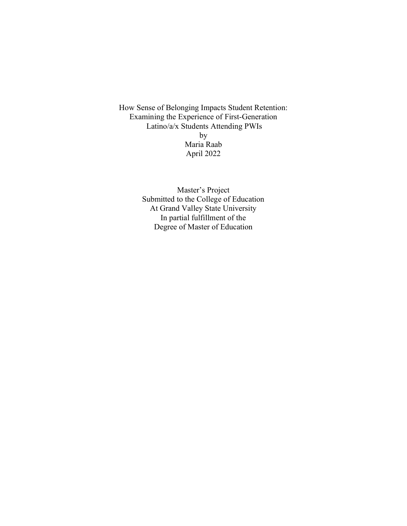How Sense of Belonging Impacts Student Retention: Examining the Experience of First-Generation Latino/a/x Students Attending PWIs by Maria Raab April 2022

> Master's Project Submitted to the College of Education At Grand Valley State University In partial fulfillment of the Degree of Master of Education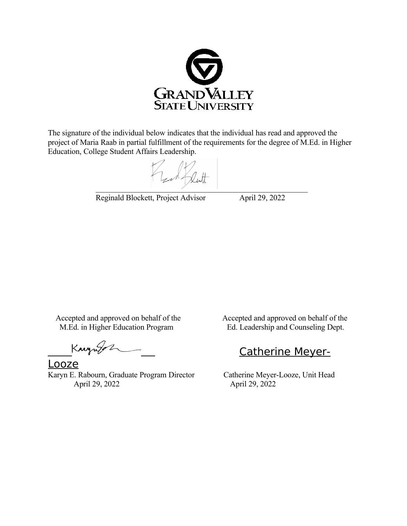

The signature of the individual below indicates that the individual has read and approved the project of Maria Raab in partial fulfillment of the requirements for the degree of M.Ed. in Higher Education, College Student Affairs Leadership.

 $\mathcal{L}=\mathcal{L}=\mathcal{L}=\mathcal{L}=\mathcal{L}=\mathcal{L}=\mathcal{L}=\mathcal{L}=\mathcal{L}=\mathcal{L}=\mathcal{L}=\mathcal{L}=\mathcal{L}=\mathcal{L}=\mathcal{L}=\mathcal{L}=\mathcal{L}=\mathcal{L}=\mathcal{L}=\mathcal{L}=\mathcal{L}=\mathcal{L}=\mathcal{L}=\mathcal{L}=\mathcal{L}=\mathcal{L}=\mathcal{L}=\mathcal{L}=\mathcal{L}=\mathcal{L}=\mathcal{L}=\mathcal{L}=\mathcal{L}=\mathcal{L}=\mathcal{L}=\mathcal{L}=\mathcal{$ 

Reginald Blockett, Project Advisor April 29, 2022

Accepted and approved on behalf of the Accepted and approved on behalf of the M.Ed. in Higher Education Program Ed. Leadership and Counseling Dept.

Kaynger

Looze Karyn E. Rabourn, Graduate Program Director Catherine Meyer-Looze, Unit Head<br>April 29, 2022 April 29, 2022 April 29, 2022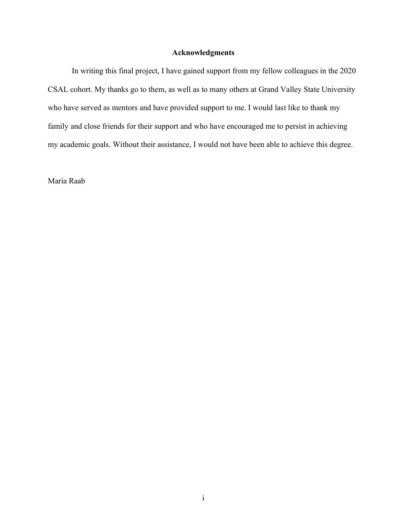### **Acknowledgments**

In writing this final project, I have gained support from my fellow colleagues in the 2020 CSAL cohort. My thanks go to them, as well as to many others at Grand Valley State University who have served as mentors and have provided support to me. I would last like to thank my family and close friends for their support and who have encouraged me to persist in achieving my academic goals. Without their assistance, I would not have been able to achieve this degree.

Maria Raab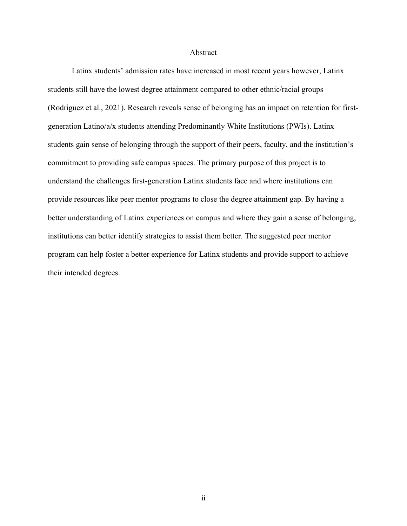#### Abstract

Latinx students' admission rates have increased in most recent years however, Latinx students still have the lowest degree attainment compared to other ethnic/racial groups (Rodriguez et al., 2021). Research reveals sense of belonging has an impact on retention for firstgeneration Latino/a/x students attending Predominantly White Institutions (PWIs). Latinx students gain sense of belonging through the support of their peers, faculty, and the institution's commitment to providing safe campus spaces. The primary purpose of this project is to understand the challenges first-generation Latinx students face and where institutions can provide resources like peer mentor programs to close the degree attainment gap. By having a better understanding of Latinx experiences on campus and where they gain a sense of belonging, institutions can better identify strategies to assist them better. The suggested peer mentor program can help foster a better experience for Latinx students and provide support to achieve their intended degrees.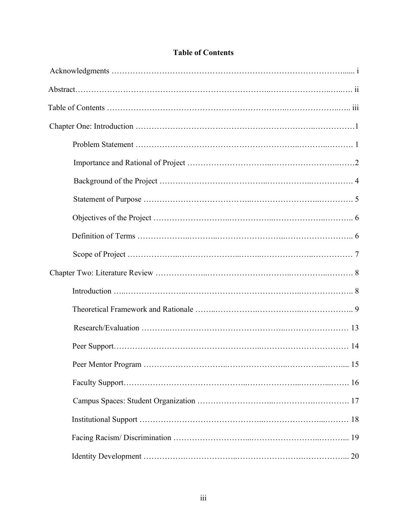### **Table of Contents**

Identity Development …………….………………..…………………….……………... 20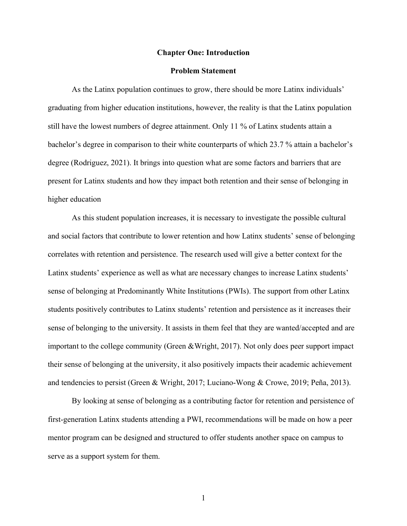#### **Chapter One: Introduction**

#### **Problem Statement**

As the Latinx population continues to grow, there should be more Latinx individuals' graduating from higher education institutions, however, the reality is that the Latinx population still have the lowest numbers of degree attainment. Only 11 % of Latinx students attain a bachelor's degree in comparison to their white counterparts of which 23.7 % attain a bachelor's degree (Rodriguez, 2021). It brings into question what are some factors and barriers that are present for Latinx students and how they impact both retention and their sense of belonging in higher education

As this student population increases, it is necessary to investigate the possible cultural and social factors that contribute to lower retention and how Latinx students' sense of belonging correlates with retention and persistence. The research used will give a better context for the Latinx students' experience as well as what are necessary changes to increase Latinx students' sense of belonging at Predominantly White Institutions (PWIs). The support from other Latinx students positively contributes to Latinx students' retention and persistence as it increases their sense of belonging to the university. It assists in them feel that they are wanted/accepted and are important to the college community (Green &Wright, 2017). Not only does peer support impact their sense of belonging at the university, it also positively impacts their academic achievement and tendencies to persist (Green & Wright, 2017; Luciano-Wong & Crowe, 2019; Peña, 2013).

By looking at sense of belonging as a contributing factor for retention and persistence of first-generation Latinx students attending a PWI, recommendations will be made on how a peer mentor program can be designed and structured to offer students another space on campus to serve as a support system for them.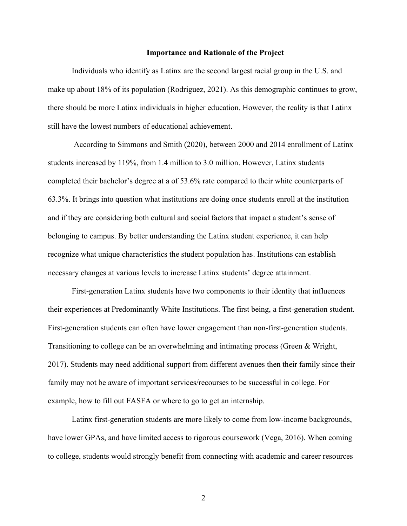#### **Importance and Rationale of the Project**

Individuals who identify as Latinx are the second largest racial group in the U.S. and make up about 18% of its population (Rodriguez, 2021). As this demographic continues to grow, there should be more Latinx individuals in higher education. However, the reality is that Latinx still have the lowest numbers of educational achievement.

According to Simmons and Smith (2020), between 2000 and 2014 enrollment of Latinx students increased by 119%, from 1.4 million to 3.0 million. However, Latinx students completed their bachelor's degree at a of 53.6% rate compared to their white counterparts of 63.3%. It brings into question what institutions are doing once students enroll at the institution and if they are considering both cultural and social factors that impact a student's sense of belonging to campus. By better understanding the Latinx student experience, it can help recognize what unique characteristics the student population has. Institutions can establish necessary changes at various levels to increase Latinx students' degree attainment.

First-generation Latinx students have two components to their identity that influences their experiences at Predominantly White Institutions. The first being, a first-generation student. First-generation students can often have lower engagement than non-first-generation students. Transitioning to college can be an overwhelming and intimating process (Green & Wright, 2017). Students may need additional support from different avenues then their family since their family may not be aware of important services/recourses to be successful in college. For example, how to fill out FASFA or where to go to get an internship.

Latinx first-generation students are more likely to come from low-income backgrounds, have lower GPAs, and have limited access to rigorous coursework (Vega, 2016). When coming to college, students would strongly benefit from connecting with academic and career resources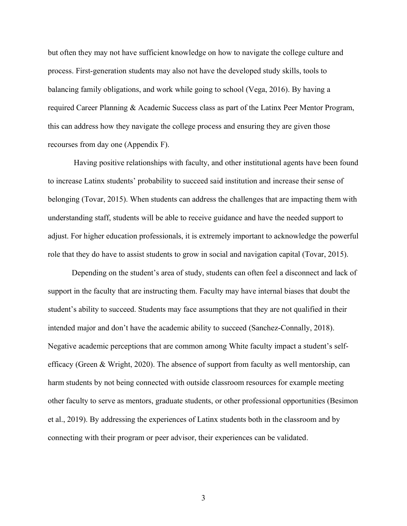but often they may not have sufficient knowledge on how to navigate the college culture and process. First-generation students may also not have the developed study skills, tools to balancing family obligations, and work while going to school (Vega, 2016). By having a required Career Planning & Academic Success class as part of the Latinx Peer Mentor Program, this can address how they navigate the college process and ensuring they are given those recourses from day one (Appendix F).

Having positive relationships with faculty, and other institutional agents have been found to increase Latinx students' probability to succeed said institution and increase their sense of belonging (Tovar, 2015). When students can address the challenges that are impacting them with understanding staff, students will be able to receive guidance and have the needed support to adjust. For higher education professionals, it is extremely important to acknowledge the powerful role that they do have to assist students to grow in social and navigation capital (Tovar, 2015).

Depending on the student's area of study, students can often feel a disconnect and lack of support in the faculty that are instructing them. Faculty may have internal biases that doubt the student's ability to succeed. Students may face assumptions that they are not qualified in their intended major and don't have the academic ability to succeed (Sanchez-Connally, 2018). Negative academic perceptions that are common among White faculty impact a student's selfefficacy (Green & Wright, 2020). The absence of support from faculty as well mentorship, can harm students by not being connected with outside classroom resources for example meeting other faculty to serve as mentors, graduate students, or other professional opportunities (Besimon et al., 2019). By addressing the experiences of Latinx students both in the classroom and by connecting with their program or peer advisor, their experiences can be validated.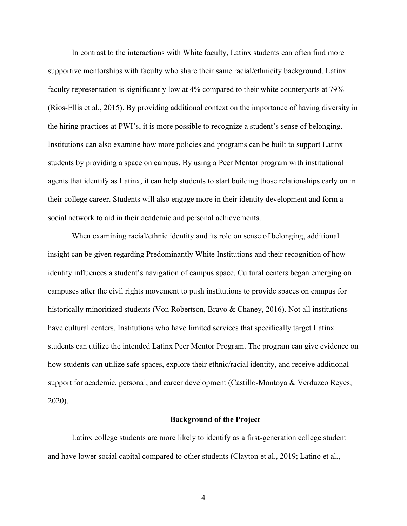In contrast to the interactions with White faculty, Latinx students can often find more supportive mentorships with faculty who share their same racial/ethnicity background. Latinx faculty representation is significantly low at 4% compared to their white counterparts at 79% (Rios-Ellis et al., 2015). By providing additional context on the importance of having diversity in the hiring practices at PWI's, it is more possible to recognize a student's sense of belonging. Institutions can also examine how more policies and programs can be built to support Latinx students by providing a space on campus. By using a Peer Mentor program with institutional agents that identify as Latinx, it can help students to start building those relationships early on in their college career. Students will also engage more in their identity development and form a social network to aid in their academic and personal achievements.

When examining racial/ethnic identity and its role on sense of belonging, additional insight can be given regarding Predominantly White Institutions and their recognition of how identity influences a student's navigation of campus space. Cultural centers began emerging on campuses after the civil rights movement to push institutions to provide spaces on campus for historically minoritized students (Von Robertson, Bravo & Chaney, 2016). Not all institutions have cultural centers. Institutions who have limited services that specifically target Latinx students can utilize the intended Latinx Peer Mentor Program. The program can give evidence on how students can utilize safe spaces, explore their ethnic/racial identity, and receive additional support for academic, personal, and career development (Castillo-Montoya & Verduzco Reyes, 2020).

#### **Background of the Project**

Latinx college students are more likely to identify as a first-generation college student and have lower social capital compared to other students (Clayton et al., 2019; Latino et al.,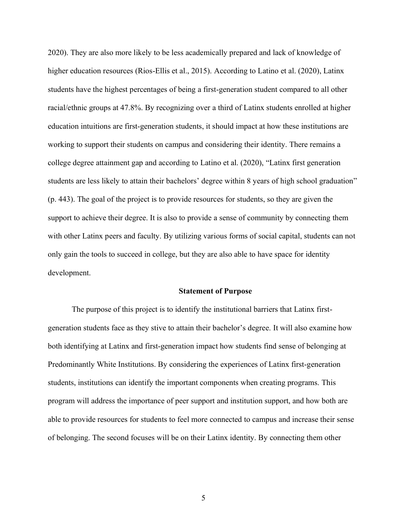2020). They are also more likely to be less academically prepared and lack of knowledge of higher education resources (Rios-Ellis et al., 2015). According to Latino et al. (2020), Latinx students have the highest percentages of being a first-generation student compared to all other racial/ethnic groups at 47.8%. By recognizing over a third of Latinx students enrolled at higher education intuitions are first-generation students, it should impact at how these institutions are working to support their students on campus and considering their identity. There remains a college degree attainment gap and according to Latino et al. (2020), "Latinx first generation students are less likely to attain their bachelors' degree within 8 years of high school graduation" (p. 443). The goal of the project is to provide resources for students, so they are given the support to achieve their degree. It is also to provide a sense of community by connecting them with other Latinx peers and faculty. By utilizing various forms of social capital, students can not only gain the tools to succeed in college, but they are also able to have space for identity development.

#### **Statement of Purpose**

The purpose of this project is to identify the institutional barriers that Latinx firstgeneration students face as they stive to attain their bachelor's degree. It will also examine how both identifying at Latinx and first-generation impact how students find sense of belonging at Predominantly White Institutions. By considering the experiences of Latinx first-generation students, institutions can identify the important components when creating programs. This program will address the importance of peer support and institution support, and how both are able to provide resources for students to feel more connected to campus and increase their sense of belonging. The second focuses will be on their Latinx identity. By connecting them other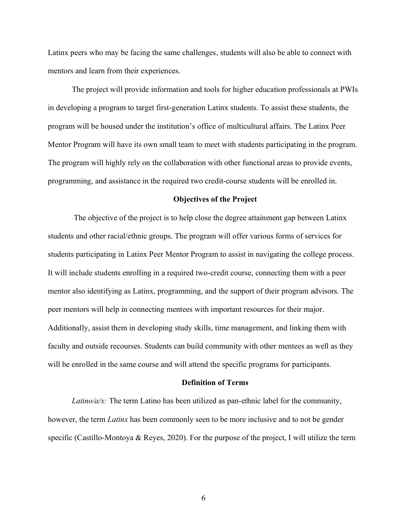Latinx peers who may be facing the same challenges, students will also be able to connect with mentors and learn from their experiences.

The project will provide information and tools for higher education professionals at PWIs in developing a program to target first-generation Latinx students. To assist these students, the program will be housed under the institution's office of multicultural affairs. The Latinx Peer Mentor Program will have its own small team to meet with students participating in the program. The program will highly rely on the collaboration with other functional areas to provide events, programming, and assistance in the required two credit-course students will be enrolled in.

#### **Objectives of the Project**

The objective of the project is to help close the degree attainment gap between Latinx students and other racial/ethnic groups. The program will offer various forms of services for students participating in Latinx Peer Mentor Program to assist in navigating the college process. It will include students enrolling in a required two-credit course, connecting them with a peer mentor also identifying as Latinx, programming, and the support of their program advisors. The peer mentors will help in connecting mentees with important resources for their major. Additionally, assist them in developing study skills, time management, and linking them with faculty and outside recourses. Students can build community with other mentees as well as they will be enrolled in the same course and will attend the specific programs for participants.

#### **Definition of Terms**

*Latino/a/x:* The term Latino has been utilized as pan-ethnic label for the community, however, the term *Latinx* has been commonly seen to be more inclusive and to not be gender specific (Castillo-Montoya & Reyes, 2020). For the purpose of the project, I will utilize the term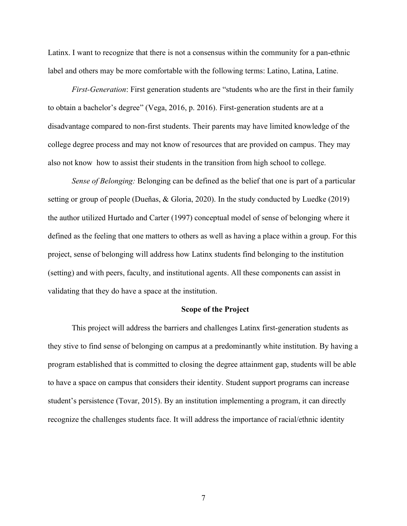Latinx. I want to recognize that there is not a consensus within the community for a pan-ethnic label and others may be more comfortable with the following terms: Latino, Latina, Latine.

*First-Generation*: First generation students are "students who are the first in their family to obtain a bachelor's degree" (Vega, 2016, p. 2016). First-generation students are at a disadvantage compared to non-first students. Their parents may have limited knowledge of the college degree process and may not know of resources that are provided on campus. They may also not know how to assist their students in the transition from high school to college.

*Sense of Belonging:* Belonging can be defined as the belief that one is part of a particular setting or group of people (Dueñas, & Gloria, 2020). In the study conducted by Luedke (2019) the author utilized Hurtado and Carter (1997) conceptual model of sense of belonging where it defined as the feeling that one matters to others as well as having a place within a group. For this project, sense of belonging will address how Latinx students find belonging to the institution (setting) and with peers, faculty, and institutional agents. All these components can assist in validating that they do have a space at the institution.

#### **Scope of the Project**

This project will address the barriers and challenges Latinx first-generation students as they stive to find sense of belonging on campus at a predominantly white institution. By having a program established that is committed to closing the degree attainment gap, students will be able to have a space on campus that considers their identity. Student support programs can increase student's persistence (Tovar, 2015). By an institution implementing a program, it can directly recognize the challenges students face. It will address the importance of racial/ethnic identity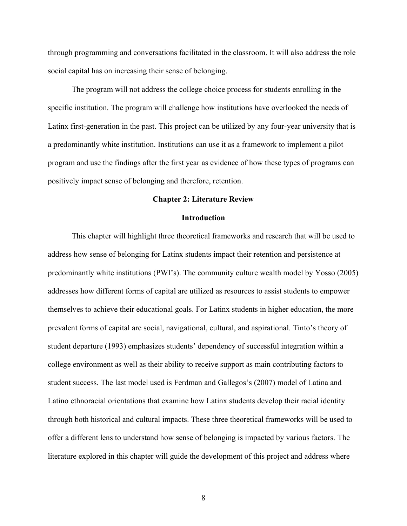through programming and conversations facilitated in the classroom. It will also address the role social capital has on increasing their sense of belonging.

The program will not address the college choice process for students enrolling in the specific institution. The program will challenge how institutions have overlooked the needs of Latinx first-generation in the past. This project can be utilized by any four-year university that is a predominantly white institution. Institutions can use it as a framework to implement a pilot program and use the findings after the first year as evidence of how these types of programs can positively impact sense of belonging and therefore, retention.

#### **Chapter 2: Literature Review**

#### **Introduction**

This chapter will highlight three theoretical frameworks and research that will be used to address how sense of belonging for Latinx students impact their retention and persistence at predominantly white institutions (PWI's). The community culture wealth model by Yosso (2005) addresses how different forms of capital are utilized as resources to assist students to empower themselves to achieve their educational goals. For Latinx students in higher education, the more prevalent forms of capital are social, navigational, cultural, and aspirational. Tinto's theory of student departure (1993) emphasizes students' dependency of successful integration within a college environment as well as their ability to receive support as main contributing factors to student success. The last model used is Ferdman and Gallegos's (2007) model of Latina and Latino ethnoracial orientations that examine how Latinx students develop their racial identity through both historical and cultural impacts. These three theoretical frameworks will be used to offer a different lens to understand how sense of belonging is impacted by various factors. The literature explored in this chapter will guide the development of this project and address where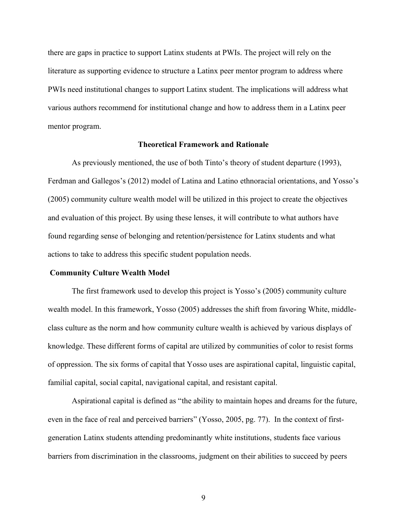there are gaps in practice to support Latinx students at PWIs. The project will rely on the literature as supporting evidence to structure a Latinx peer mentor program to address where PWIs need institutional changes to support Latinx student. The implications will address what various authors recommend for institutional change and how to address them in a Latinx peer mentor program.

#### **Theoretical Framework and Rationale**

As previously mentioned, the use of both Tinto's theory of student departure (1993), Ferdman and Gallegos's (2012) model of Latina and Latino ethnoracial orientations, and Yosso's (2005) community culture wealth model will be utilized in this project to create the objectives and evaluation of this project. By using these lenses, it will contribute to what authors have found regarding sense of belonging and retention/persistence for Latinx students and what actions to take to address this specific student population needs.

#### **Community Culture Wealth Model**

The first framework used to develop this project is Yosso's (2005) community culture wealth model. In this framework, Yosso (2005) addresses the shift from favoring White, middleclass culture as the norm and how community culture wealth is achieved by various displays of knowledge. These different forms of capital are utilized by communities of color to resist forms of oppression. The six forms of capital that Yosso uses are aspirational capital, linguistic capital, familial capital, social capital, navigational capital, and resistant capital.

Aspirational capital is defined as "the ability to maintain hopes and dreams for the future, even in the face of real and perceived barriers" (Yosso, 2005, pg. 77). In the context of firstgeneration Latinx students attending predominantly white institutions, students face various barriers from discrimination in the classrooms, judgment on their abilities to succeed by peers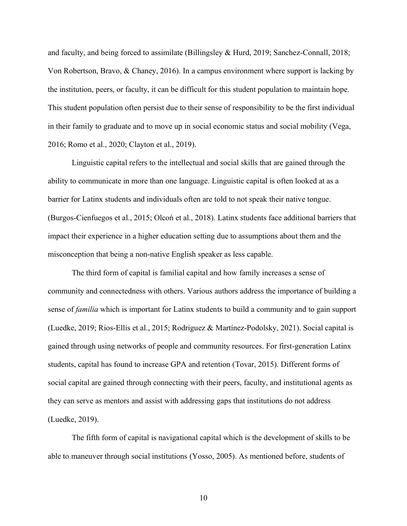and faculty, and being forced to assimilate (Billingsley & Hurd, 2019; Sanchez-Connall, 2018; Von Robertson, Bravo, & Chaney, 2016). In a campus environment where support is lacking by the institution, peers, or faculty, it can be difficult for this student population to maintain hope. This student population often persist due to their sense of responsibility to be the first individual in their family to graduate and to move up in social economic status and social mobility (Vega, 2016; Romo et al., 2020; Clayton et al., 2019).

Linguistic capital refers to the intellectual and social skills that are gained through the ability to communicate in more than one language. Linguistic capital is often looked at as a barrier for Latinx students and individuals often are told to not speak their native tongue. (Burgos-Cienfuegos et al., 2015; Olcoń et al., 2018). Latinx students face additional barriers that impact their experience in a higher education setting due to assumptions about them and the misconception that being a non-native English speaker as less capable.

The third form of capital is familial capital and how family increases a sense of community and connectedness with others. Various authors address the importance of building a sense of *familia* which is important for Latinx students to build a community and to gain support (Luedke, 2019; Rios-Ellis et al., 2015; Rodriguez & Martinez-Podolsky, 2021). Social capital is gained through using networks of people and community resources. For first-generation Latinx students, capital has found to increase GPA and retention (Tovar, 2015). Different forms of social capital are gained through connecting with their peers, faculty, and institutional agents as they can serve as mentors and assist with addressing gaps that institutions do not address (Luedke, 2019).

The fifth form of capital is navigational capital which is the development of skills to be able to maneuver through social institutions (Yosso, 2005). As mentioned before, students of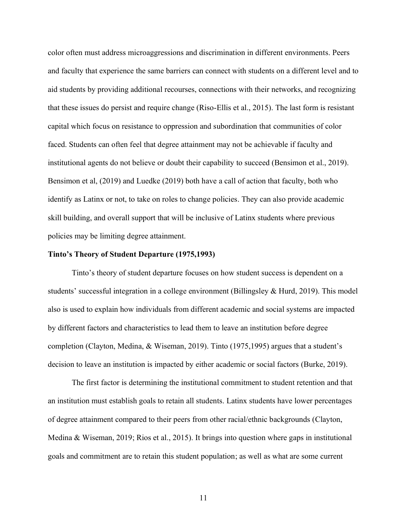color often must address microaggressions and discrimination in different environments. Peers and faculty that experience the same barriers can connect with students on a different level and to aid students by providing additional recourses, connections with their networks, and recognizing that these issues do persist and require change (Riso-Ellis et al., 2015). The last form is resistant capital which focus on resistance to oppression and subordination that communities of color faced. Students can often feel that degree attainment may not be achievable if faculty and institutional agents do not believe or doubt their capability to succeed (Bensimon et al., 2019). Bensimon et al, (2019) and Luedke (2019) both have a call of action that faculty, both who identify as Latinx or not, to take on roles to change policies. They can also provide academic skill building, and overall support that will be inclusive of Latinx students where previous policies may be limiting degree attainment.

#### **Tinto's Theory of Student Departure (1975,1993)**

Tinto's theory of student departure focuses on how student success is dependent on a students' successful integration in a college environment (Billingsley & Hurd, 2019). This model also is used to explain how individuals from different academic and social systems are impacted by different factors and characteristics to lead them to leave an institution before degree completion (Clayton, Medina, & Wiseman, 2019). Tinto (1975,1995) argues that a student's decision to leave an institution is impacted by either academic or social factors (Burke, 2019).

The first factor is determining the institutional commitment to student retention and that an institution must establish goals to retain all students. Latinx students have lower percentages of degree attainment compared to their peers from other racial/ethnic backgrounds (Clayton, Medina & Wiseman, 2019; Rios et al., 2015). It brings into question where gaps in institutional goals and commitment are to retain this student population; as well as what are some current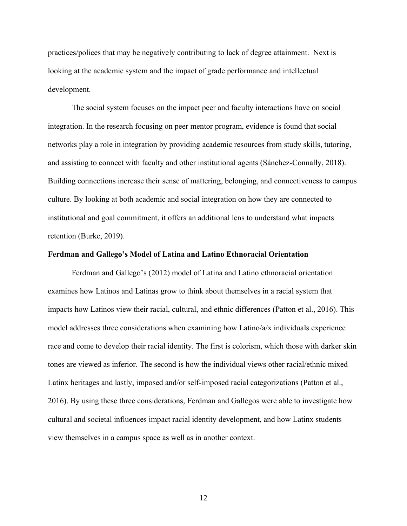practices/polices that may be negatively contributing to lack of degree attainment. Next is looking at the academic system and the impact of grade performance and intellectual development.

The social system focuses on the impact peer and faculty interactions have on social integration. In the research focusing on peer mentor program, evidence is found that social networks play a role in integration by providing academic resources from study skills, tutoring, and assisting to connect with faculty and other institutional agents (Sánchez-Connally, 2018). Building connections increase their sense of mattering, belonging, and connectiveness to campus culture. By looking at both academic and social integration on how they are connected to institutional and goal commitment, it offers an additional lens to understand what impacts retention (Burke, 2019).

#### **Ferdman and Gallego's Model of Latina and Latino Ethnoracial Orientation**

Ferdman and Gallego's (2012) model of Latina and Latino ethnoracial orientation examines how Latinos and Latinas grow to think about themselves in a racial system that impacts how Latinos view their racial, cultural, and ethnic differences (Patton et al., 2016). This model addresses three considerations when examining how Latino/a/x individuals experience race and come to develop their racial identity. The first is colorism, which those with darker skin tones are viewed as inferior. The second is how the individual views other racial/ethnic mixed Latinx heritages and lastly, imposed and/or self-imposed racial categorizations (Patton et al., 2016). By using these three considerations, Ferdman and Gallegos were able to investigate how cultural and societal influences impact racial identity development, and how Latinx students view themselves in a campus space as well as in another context.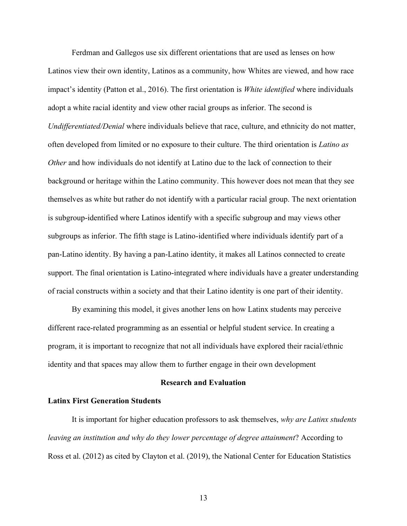Ferdman and Gallegos use six different orientations that are used as lenses on how Latinos view their own identity, Latinos as a community, how Whites are viewed, and how race impact's identity (Patton et al., 2016). The first orientation is *White identified* where individuals adopt a white racial identity and view other racial groups as inferior. The second is *Undifferentiated/Denial* where individuals believe that race, culture, and ethnicity do not matter, often developed from limited or no exposure to their culture. The third orientation is *Latino as Other* and how individuals do not identify at Latino due to the lack of connection to their background or heritage within the Latino community. This however does not mean that they see themselves as white but rather do not identify with a particular racial group. The next orientation is subgroup-identified where Latinos identify with a specific subgroup and may views other subgroups as inferior. The fifth stage is Latino-identified where individuals identify part of a pan-Latino identity. By having a pan-Latino identity, it makes all Latinos connected to create support. The final orientation is Latino-integrated where individuals have a greater understanding of racial constructs within a society and that their Latino identity is one part of their identity.

By examining this model, it gives another lens on how Latinx students may perceive different race-related programming as an essential or helpful student service. In creating a program, it is important to recognize that not all individuals have explored their racial/ethnic identity and that spaces may allow them to further engage in their own development

#### **Research and Evaluation**

#### **Latinx First Generation Students**

It is important for higher education professors to ask themselves, *why are Latinx students leaving an institution and why do they lower percentage of degree attainment*? According to Ross et al. (2012) as cited by Clayton et al. (2019), the National Center for Education Statistics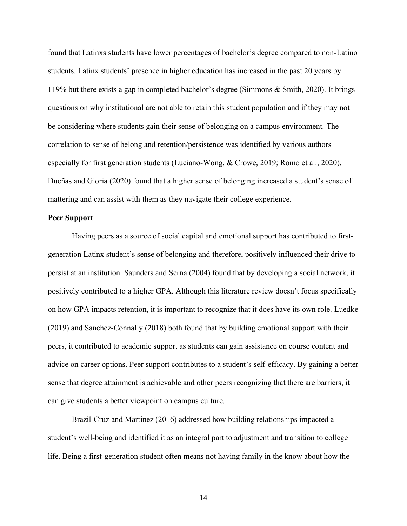found that Latinxs students have lower percentages of bachelor's degree compared to non-Latino students. Latinx students' presence in higher education has increased in the past 20 years by 119% but there exists a gap in completed bachelor's degree (Simmons & Smith, 2020). It brings questions on why institutional are not able to retain this student population and if they may not be considering where students gain their sense of belonging on a campus environment. The correlation to sense of belong and retention/persistence was identified by various authors especially for first generation students (Luciano-Wong, & Crowe, 2019; Romo et al., 2020). Dueñas and Gloria (2020) found that a higher sense of belonging increased a student's sense of mattering and can assist with them as they navigate their college experience.

#### **Peer Support**

Having peers as a source of social capital and emotional support has contributed to firstgeneration Latinx student's sense of belonging and therefore, positively influenced their drive to persist at an institution. Saunders and Serna (2004) found that by developing a social network, it positively contributed to a higher GPA. Although this literature review doesn't focus specifically on how GPA impacts retention, it is important to recognize that it does have its own role. Luedke (2019) and Sanchez-Connally (2018) both found that by building emotional support with their peers, it contributed to academic support as students can gain assistance on course content and advice on career options. Peer support contributes to a student's self-efficacy. By gaining a better sense that degree attainment is achievable and other peers recognizing that there are barriers, it can give students a better viewpoint on campus culture.

Brazil-Cruz and Martinez (2016) addressed how building relationships impacted a student's well-being and identified it as an integral part to adjustment and transition to college life. Being a first-generation student often means not having family in the know about how the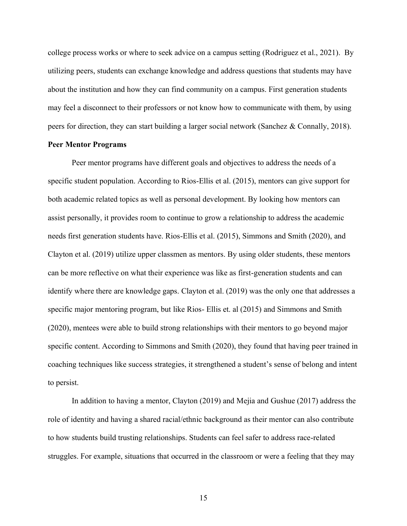college process works or where to seek advice on a campus setting (Rodriguez et al., 2021). By utilizing peers, students can exchange knowledge and address questions that students may have about the institution and how they can find community on a campus. First generation students may feel a disconnect to their professors or not know how to communicate with them, by using peers for direction, they can start building a larger social network (Sanchez & Connally, 2018).

#### **Peer Mentor Programs**

Peer mentor programs have different goals and objectives to address the needs of a specific student population. According to Rios-Ellis et al. (2015), mentors can give support for both academic related topics as well as personal development. By looking how mentors can assist personally, it provides room to continue to grow a relationship to address the academic needs first generation students have. Rios-Ellis et al. (2015), Simmons and Smith (2020), and Clayton et al. (2019) utilize upper classmen as mentors. By using older students, these mentors can be more reflective on what their experience was like as first-generation students and can identify where there are knowledge gaps. Clayton et al. (2019) was the only one that addresses a specific major mentoring program, but like Rios- Ellis et. al (2015) and Simmons and Smith (2020), mentees were able to build strong relationships with their mentors to go beyond major specific content. According to Simmons and Smith (2020), they found that having peer trained in coaching techniques like success strategies, it strengthened a student's sense of belong and intent to persist.

In addition to having a mentor, Clayton (2019) and Mejia and Gushue (2017) address the role of identity and having a shared racial/ethnic background as their mentor can also contribute to how students build trusting relationships. Students can feel safer to address race-related struggles. For example, situations that occurred in the classroom or were a feeling that they may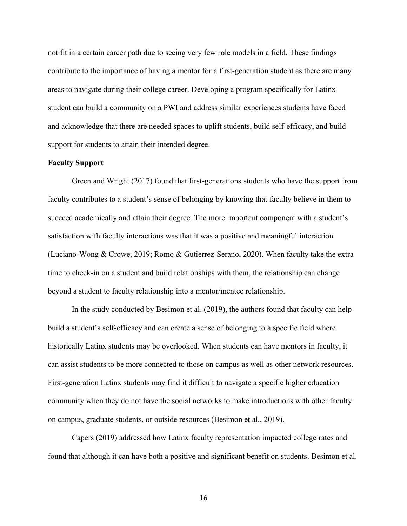not fit in a certain career path due to seeing very few role models in a field. These findings contribute to the importance of having a mentor for a first-generation student as there are many areas to navigate during their college career. Developing a program specifically for Latinx student can build a community on a PWI and address similar experiences students have faced and acknowledge that there are needed spaces to uplift students, build self-efficacy, and build support for students to attain their intended degree.

#### **Faculty Support**

Green and Wright (2017) found that first-generations students who have the support from faculty contributes to a student's sense of belonging by knowing that faculty believe in them to succeed academically and attain their degree. The more important component with a student's satisfaction with faculty interactions was that it was a positive and meaningful interaction (Luciano-Wong & Crowe, 2019; Romo & Gutierrez-Serano, 2020). When faculty take the extra time to check-in on a student and build relationships with them, the relationship can change beyond a student to faculty relationship into a mentor/mentee relationship.

In the study conducted by Besimon et al. (2019), the authors found that faculty can help build a student's self-efficacy and can create a sense of belonging to a specific field where historically Latinx students may be overlooked. When students can have mentors in faculty, it can assist students to be more connected to those on campus as well as other network resources. First-generation Latinx students may find it difficult to navigate a specific higher education community when they do not have the social networks to make introductions with other faculty on campus, graduate students, or outside resources (Besimon et al., 2019).

Capers (2019) addressed how Latinx faculty representation impacted college rates and found that although it can have both a positive and significant benefit on students. Besimon et al.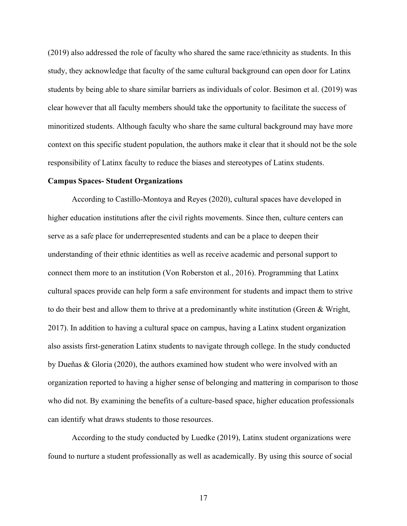(2019) also addressed the role of faculty who shared the same race/ethnicity as students. In this study, they acknowledge that faculty of the same cultural background can open door for Latinx students by being able to share similar barriers as individuals of color. Besimon et al. (2019) was clear however that all faculty members should take the opportunity to facilitate the success of minoritized students. Although faculty who share the same cultural background may have more context on this specific student population, the authors make it clear that it should not be the sole responsibility of Latinx faculty to reduce the biases and stereotypes of Latinx students.

#### **Campus Spaces- Student Organizations**

According to Castillo-Montoya and Reyes (2020), cultural spaces have developed in higher education institutions after the civil rights movements. Since then, culture centers can serve as a safe place for underrepresented students and can be a place to deepen their understanding of their ethnic identities as well as receive academic and personal support to connect them more to an institution (Von Roberston et al., 2016). Programming that Latinx cultural spaces provide can help form a safe environment for students and impact them to strive to do their best and allow them to thrive at a predominantly white institution (Green & Wright, 2017). In addition to having a cultural space on campus, having a Latinx student organization also assists first-generation Latinx students to navigate through college. In the study conducted by Dueñas & Gloria (2020), the authors examined how student who were involved with an organization reported to having a higher sense of belonging and mattering in comparison to those who did not. By examining the benefits of a culture-based space, higher education professionals can identify what draws students to those resources.

According to the study conducted by Luedke (2019), Latinx student organizations were found to nurture a student professionally as well as academically. By using this source of social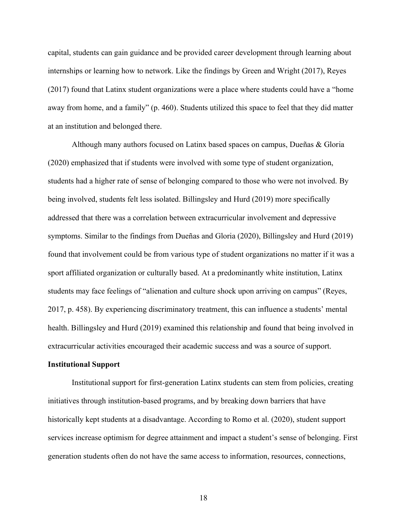capital, students can gain guidance and be provided career development through learning about internships or learning how to network. Like the findings by Green and Wright (2017), Reyes (2017) found that Latinx student organizations were a place where students could have a "home away from home, and a family" (p. 460). Students utilized this space to feel that they did matter at an institution and belonged there.

Although many authors focused on Latinx based spaces on campus, Dueñas & Gloria (2020) emphasized that if students were involved with some type of student organization, students had a higher rate of sense of belonging compared to those who were not involved. By being involved, students felt less isolated. Billingsley and Hurd (2019) more specifically addressed that there was a correlation between extracurricular involvement and depressive symptoms. Similar to the findings from Dueñas and Gloria (2020), Billingsley and Hurd (2019) found that involvement could be from various type of student organizations no matter if it was a sport affiliated organization or culturally based. At a predominantly white institution, Latinx students may face feelings of "alienation and culture shock upon arriving on campus" (Reyes, 2017, p. 458). By experiencing discriminatory treatment, this can influence a students' mental health. Billingsley and Hurd (2019) examined this relationship and found that being involved in extracurricular activities encouraged their academic success and was a source of support.

#### **Institutional Support**

Institutional support for first-generation Latinx students can stem from policies, creating initiatives through institution-based programs, and by breaking down barriers that have historically kept students at a disadvantage. According to Romo et al. (2020), student support services increase optimism for degree attainment and impact a student's sense of belonging. First generation students often do not have the same access to information, resources, connections,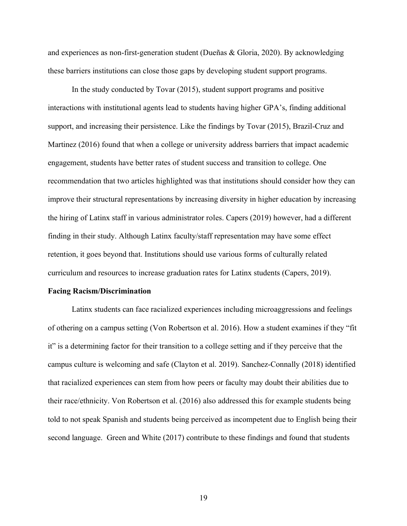and experiences as non-first-generation student (Dueñas & Gloria, 2020). By acknowledging these barriers institutions can close those gaps by developing student support programs.

In the study conducted by Tovar (2015), student support programs and positive interactions with institutional agents lead to students having higher GPA's, finding additional support, and increasing their persistence. Like the findings by Tovar (2015), Brazil-Cruz and Martinez (2016) found that when a college or university address barriers that impact academic engagement, students have better rates of student success and transition to college. One recommendation that two articles highlighted was that institutions should consider how they can improve their structural representations by increasing diversity in higher education by increasing the hiring of Latinx staff in various administrator roles. Capers (2019) however, had a different finding in their study. Although Latinx faculty/staff representation may have some effect retention, it goes beyond that. Institutions should use various forms of culturally related curriculum and resources to increase graduation rates for Latinx students (Capers, 2019).

#### **Facing Racism/Discrimination**

Latinx students can face racialized experiences including microaggressions and feelings of othering on a campus setting (Von Robertson et al. 2016). How a student examines if they "fit it" is a determining factor for their transition to a college setting and if they perceive that the campus culture is welcoming and safe (Clayton et al. 2019). Sanchez-Connally (2018) identified that racialized experiences can stem from how peers or faculty may doubt their abilities due to their race/ethnicity. Von Robertson et al. (2016) also addressed this for example students being told to not speak Spanish and students being perceived as incompetent due to English being their second language. Green and White (2017) contribute to these findings and found that students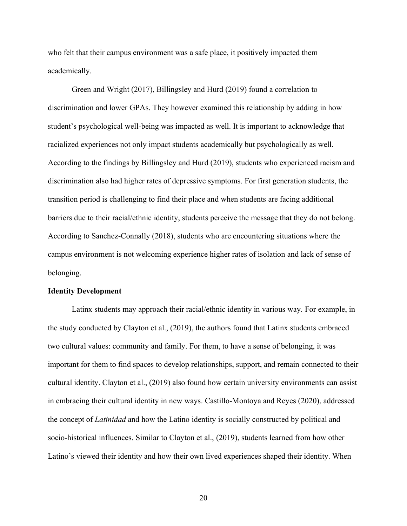who felt that their campus environment was a safe place, it positively impacted them academically.

Green and Wright (2017), Billingsley and Hurd (2019) found a correlation to discrimination and lower GPAs. They however examined this relationship by adding in how student's psychological well-being was impacted as well. It is important to acknowledge that racialized experiences not only impact students academically but psychologically as well. According to the findings by Billingsley and Hurd (2019), students who experienced racism and discrimination also had higher rates of depressive symptoms. For first generation students, the transition period is challenging to find their place and when students are facing additional barriers due to their racial/ethnic identity, students perceive the message that they do not belong. According to Sanchez-Connally (2018), students who are encountering situations where the campus environment is not welcoming experience higher rates of isolation and lack of sense of belonging.

#### **Identity Development**

Latinx students may approach their racial/ethnic identity in various way. For example, in the study conducted by Clayton et al., (2019), the authors found that Latinx students embraced two cultural values: community and family. For them, to have a sense of belonging, it was important for them to find spaces to develop relationships, support, and remain connected to their cultural identity. Clayton et al., (2019) also found how certain university environments can assist in embracing their cultural identity in new ways. Castillo-Montoya and Reyes (2020), addressed the concept of *Latinidad* and how the Latino identity is socially constructed by political and socio-historical influences. Similar to Clayton et al., (2019), students learned from how other Latino's viewed their identity and how their own lived experiences shaped their identity. When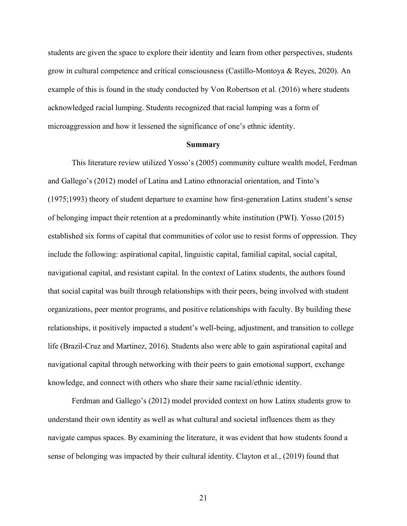students are given the space to explore their identity and learn from other perspectives, students grow in cultural competence and critical consciousness (Castillo-Montoya & Reyes, 2020). An example of this is found in the study conducted by Von Robertson et al. (2016) where students acknowledged racial lumping. Students recognized that racial lumping was a form of microaggression and how it lessened the significance of one's ethnic identity.

#### **Summary**

This literature review utilized Yosso's (2005) community culture wealth model, Ferdman and Gallego's (2012) model of Latina and Latino ethnoracial orientation, and Tinto's (1975;1993) theory of student departure to examine how first-generation Latinx student's sense of belonging impact their retention at a predominantly white institution (PWI). Yosso (2015) established six forms of capital that communities of color use to resist forms of oppression. They include the following: aspirational capital, linguistic capital, familial capital, social capital, navigational capital, and resistant capital. In the context of Latinx students, the authors found that social capital was built through relationships with their peers, being involved with student organizations, peer mentor programs, and positive relationships with faculty. By building these relationships, it positively impacted a student's well-being, adjustment, and transition to college life (Brazil-Cruz and Martinez, 2016). Students also were able to gain aspirational capital and navigational capital through networking with their peers to gain emotional support, exchange knowledge, and connect with others who share their same racial/ethnic identity.

Ferdman and Gallego's (2012) model provided context on how Latinx students grow to understand their own identity as well as what cultural and societal influences them as they navigate campus spaces. By examining the literature, it was evident that how students found a sense of belonging was impacted by their cultural identity. Clayton et al., (2019) found that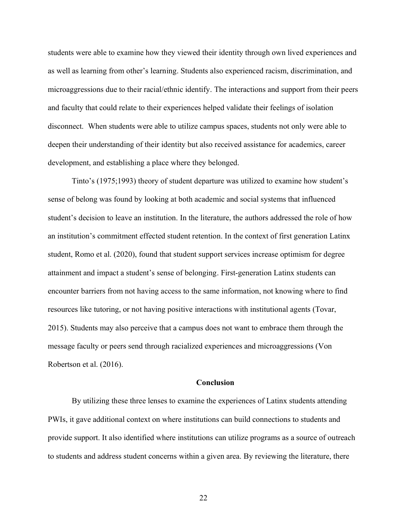students were able to examine how they viewed their identity through own lived experiences and as well as learning from other's learning. Students also experienced racism, discrimination, and microaggressions due to their racial/ethnic identify. The interactions and support from their peers and faculty that could relate to their experiences helped validate their feelings of isolation disconnect. When students were able to utilize campus spaces, students not only were able to deepen their understanding of their identity but also received assistance for academics, career development, and establishing a place where they belonged.

Tinto's (1975;1993) theory of student departure was utilized to examine how student's sense of belong was found by looking at both academic and social systems that influenced student's decision to leave an institution. In the literature, the authors addressed the role of how an institution's commitment effected student retention. In the context of first generation Latinx student, Romo et al. (2020), found that student support services increase optimism for degree attainment and impact a student's sense of belonging. First-generation Latinx students can encounter barriers from not having access to the same information, not knowing where to find resources like tutoring, or not having positive interactions with institutional agents (Tovar, 2015). Students may also perceive that a campus does not want to embrace them through the message faculty or peers send through racialized experiences and microaggressions (Von Robertson et al. (2016).

#### **Conclusion**

By utilizing these three lenses to examine the experiences of Latinx students attending PWIs, it gave additional context on where institutions can build connections to students and provide support. It also identified where institutions can utilize programs as a source of outreach to students and address student concerns within a given area. By reviewing the literature, there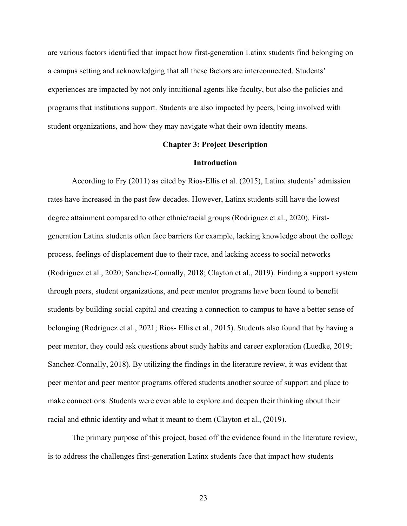are various factors identified that impact how first-generation Latinx students find belonging on a campus setting and acknowledging that all these factors are interconnected. Students' experiences are impacted by not only intuitional agents like faculty, but also the policies and programs that institutions support. Students are also impacted by peers, being involved with student organizations, and how they may navigate what their own identity means.

#### **Chapter 3: Project Description**

#### **Introduction**

According to Fry (2011) as cited by Rios-Ellis et al. (2015), Latinx students' admission rates have increased in the past few decades. However, Latinx students still have the lowest degree attainment compared to other ethnic/racial groups (Rodriguez et al., 2020). Firstgeneration Latinx students often face barriers for example, lacking knowledge about the college process, feelings of displacement due to their race, and lacking access to social networks (Rodriguez et al., 2020; Sanchez-Connally, 2018; Clayton et al., 2019). Finding a support system through peers, student organizations, and peer mentor programs have been found to benefit students by building social capital and creating a connection to campus to have a better sense of belonging (Rodriguez et al., 2021; Rios- Ellis et al., 2015). Students also found that by having a peer mentor, they could ask questions about study habits and career exploration (Luedke, 2019; Sanchez-Connally, 2018). By utilizing the findings in the literature review, it was evident that peer mentor and peer mentor programs offered students another source of support and place to make connections. Students were even able to explore and deepen their thinking about their racial and ethnic identity and what it meant to them (Clayton et al., (2019).

The primary purpose of this project, based off the evidence found in the literature review, is to address the challenges first-generation Latinx students face that impact how students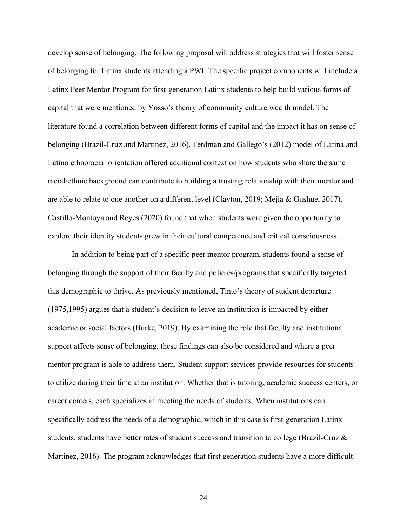develop sense of belonging. The following proposal will address strategies that will foster sense of belonging for Latinx students attending a PWI. The specific project components will include a Latinx Peer Mentor Program for first-generation Latinx students to help build various forms of capital that were mentioned by Yosso's theory of community culture wealth model. The literature found a correlation between different forms of capital and the impact it has on sense of belonging (Brazil-Cruz and Martinez, 2016). Ferdman and Gallego's (2012) model of Latina and Latino ethnoracial orientation offered additional context on how students who share the same racial/ethnic background can contribute to building a trusting relationship with their mentor and are able to relate to one another on a different level (Clayton, 2019; Mejia & Gushue, 2017). Castillo-Montoya and Reyes (2020) found that when students were given the opportunity to explore their identity students grew in their cultural competence and critical consciousness.

In addition to being part of a specific peer mentor program, students found a sense of belonging through the support of their faculty and policies/programs that specifically targeted this demographic to thrive. As previously mentioned, Tinto's theory of student departure (1975,1995) argues that a student's decision to leave an institution is impacted by either academic or social factors (Burke, 2019). By examining the role that faculty and institutional support affects sense of belonging, these findings can also be considered and where a peer mentor program is able to address them. Student support services provide resources for students to utilize during their time at an institution. Whether that is tutoring, academic success centers, or career centers, each specializes in meeting the needs of students. When institutions can specifically address the needs of a demographic, which in this case is first-generation Latinx students, students have better rates of student success and transition to college (Brazil-Cruz & Martinez, 2016). The program acknowledges that first generation students have a more difficult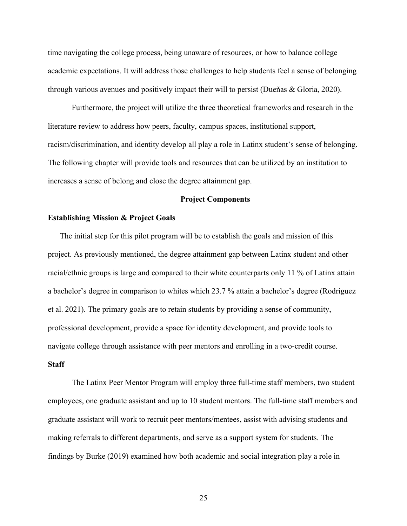time navigating the college process, being unaware of resources, or how to balance college academic expectations. It will address those challenges to help students feel a sense of belonging through various avenues and positively impact their will to persist (Dueñas & Gloria, 2020).

Furthermore, the project will utilize the three theoretical frameworks and research in the literature review to address how peers, faculty, campus spaces, institutional support, racism/discrimination, and identity develop all play a role in Latinx student's sense of belonging. The following chapter will provide tools and resources that can be utilized by an institution to increases a sense of belong and close the degree attainment gap.

#### **Project Components**

#### **Establishing Mission & Project Goals**

The initial step for this pilot program will be to establish the goals and mission of this project. As previously mentioned, the degree attainment gap between Latinx student and other racial/ethnic groups is large and compared to their white counterparts only 11 % of Latinx attain a bachelor's degree in comparison to whites which 23.7 % attain a bachelor's degree (Rodriguez et al. 2021). The primary goals are to retain students by providing a sense of community, professional development, provide a space for identity development, and provide tools to navigate college through assistance with peer mentors and enrolling in a two-credit course.

#### **Staff**

The Latinx Peer Mentor Program will employ three full-time staff members, two student employees, one graduate assistant and up to 10 student mentors. The full-time staff members and graduate assistant will work to recruit peer mentors/mentees, assist with advising students and making referrals to different departments, and serve as a support system for students. The findings by Burke (2019) examined how both academic and social integration play a role in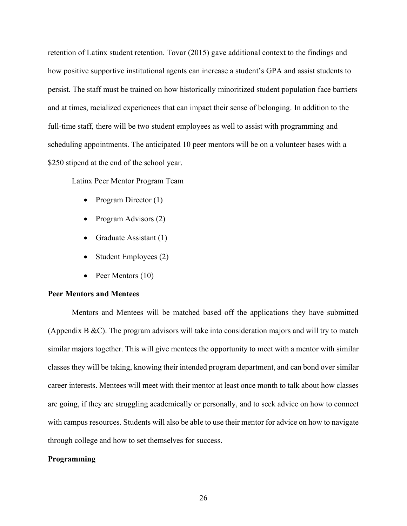retention of Latinx student retention. Tovar (2015) gave additional context to the findings and how positive supportive institutional agents can increase a student's GPA and assist students to persist. The staff must be trained on how historically minoritized student population face barriers and at times, racialized experiences that can impact their sense of belonging. In addition to the full-time staff, there will be two student employees as well to assist with programming and scheduling appointments. The anticipated 10 peer mentors will be on a volunteer bases with a \$250 stipend at the end of the school year.

Latinx Peer Mentor Program Team

- Program Director (1)
- Program Advisors (2)
- Graduate Assistant (1)
- Student Employees (2)
- Peer Mentors (10)

#### **Peer Mentors and Mentees**

Mentors and Mentees will be matched based off the applications they have submitted (Appendix B  $\&C$ ). The program advisors will take into consideration majors and will try to match similar majors together. This will give mentees the opportunity to meet with a mentor with similar classes they will be taking, knowing their intended program department, and can bond over similar career interests. Mentees will meet with their mentor at least once month to talk about how classes are going, if they are struggling academically or personally, and to seek advice on how to connect with campus resources. Students will also be able to use their mentor for advice on how to navigate through college and how to set themselves for success.

#### **Programming**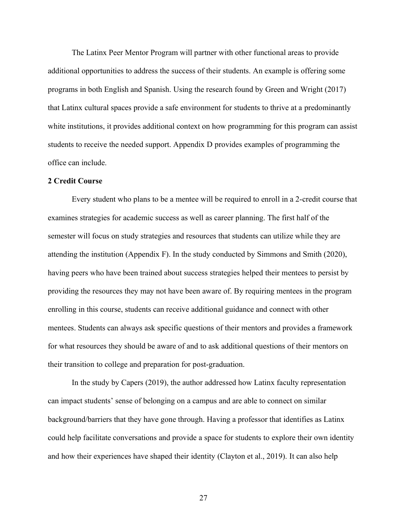The Latinx Peer Mentor Program will partner with other functional areas to provide additional opportunities to address the success of their students. An example is offering some programs in both English and Spanish. Using the research found by Green and Wright (2017) that Latinx cultural spaces provide a safe environment for students to thrive at a predominantly white institutions, it provides additional context on how programming for this program can assist students to receive the needed support. Appendix D provides examples of programming the office can include.

#### **2 Credit Course**

Every student who plans to be a mentee will be required to enroll in a 2-credit course that examines strategies for academic success as well as career planning. The first half of the semester will focus on study strategies and resources that students can utilize while they are attending the institution (Appendix F). In the study conducted by Simmons and Smith (2020), having peers who have been trained about success strategies helped their mentees to persist by providing the resources they may not have been aware of. By requiring mentees in the program enrolling in this course, students can receive additional guidance and connect with other mentees. Students can always ask specific questions of their mentors and provides a framework for what resources they should be aware of and to ask additional questions of their mentors on their transition to college and preparation for post-graduation.

In the study by Capers (2019), the author addressed how Latinx faculty representation can impact students' sense of belonging on a campus and are able to connect on similar background/barriers that they have gone through. Having a professor that identifies as Latinx could help facilitate conversations and provide a space for students to explore their own identity and how their experiences have shaped their identity (Clayton et al., 2019). It can also help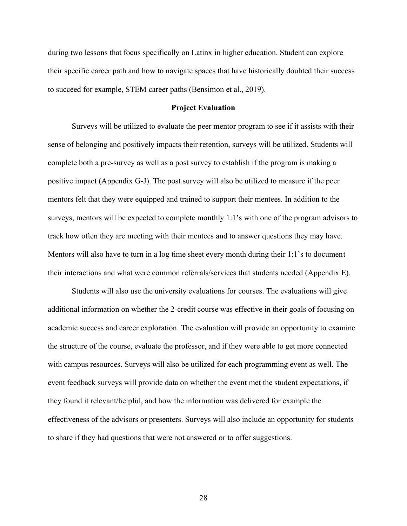during two lessons that focus specifically on Latinx in higher education. Student can explore their specific career path and how to navigate spaces that have historically doubted their success to succeed for example, STEM career paths (Bensimon et al., 2019).

#### **Project Evaluation**

Surveys will be utilized to evaluate the peer mentor program to see if it assists with their sense of belonging and positively impacts their retention, surveys will be utilized. Students will complete both a pre-survey as well as a post survey to establish if the program is making a positive impact (Appendix G-J). The post survey will also be utilized to measure if the peer mentors felt that they were equipped and trained to support their mentees. In addition to the surveys, mentors will be expected to complete monthly 1:1's with one of the program advisors to track how often they are meeting with their mentees and to answer questions they may have. Mentors will also have to turn in a log time sheet every month during their 1:1's to document their interactions and what were common referrals/services that students needed (Appendix E).

Students will also use the university evaluations for courses. The evaluations will give additional information on whether the 2-credit course was effective in their goals of focusing on academic success and career exploration. The evaluation will provide an opportunity to examine the structure of the course, evaluate the professor, and if they were able to get more connected with campus resources. Surveys will also be utilized for each programming event as well. The event feedback surveys will provide data on whether the event met the student expectations, if they found it relevant/helpful, and how the information was delivered for example the effectiveness of the advisors or presenters. Surveys will also include an opportunity for students to share if they had questions that were not answered or to offer suggestions.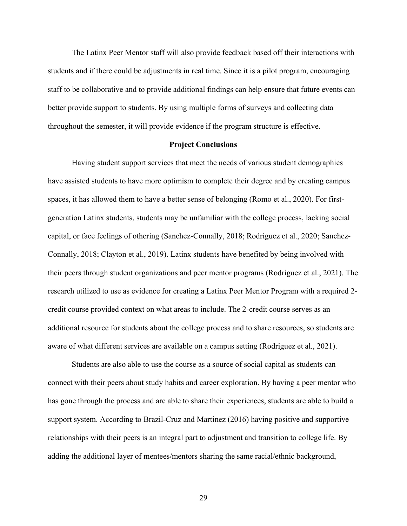The Latinx Peer Mentor staff will also provide feedback based off their interactions with students and if there could be adjustments in real time. Since it is a pilot program, encouraging staff to be collaborative and to provide additional findings can help ensure that future events can better provide support to students. By using multiple forms of surveys and collecting data throughout the semester, it will provide evidence if the program structure is effective.

#### **Project Conclusions**

Having student support services that meet the needs of various student demographics have assisted students to have more optimism to complete their degree and by creating campus spaces, it has allowed them to have a better sense of belonging (Romo et al., 2020). For firstgeneration Latinx students, students may be unfamiliar with the college process, lacking social capital, or face feelings of othering (Sanchez-Connally, 2018; Rodriguez et al., 2020; Sanchez-Connally, 2018; Clayton et al., 2019). Latinx students have benefited by being involved with their peers through student organizations and peer mentor programs (Rodriguez et al., 2021). The research utilized to use as evidence for creating a Latinx Peer Mentor Program with a required 2 credit course provided context on what areas to include. The 2-credit course serves as an additional resource for students about the college process and to share resources, so students are aware of what different services are available on a campus setting (Rodriguez et al., 2021).

Students are also able to use the course as a source of social capital as students can connect with their peers about study habits and career exploration. By having a peer mentor who has gone through the process and are able to share their experiences, students are able to build a support system. According to Brazil-Cruz and Martinez (2016) having positive and supportive relationships with their peers is an integral part to adjustment and transition to college life. By adding the additional layer of mentees/mentors sharing the same racial/ethnic background,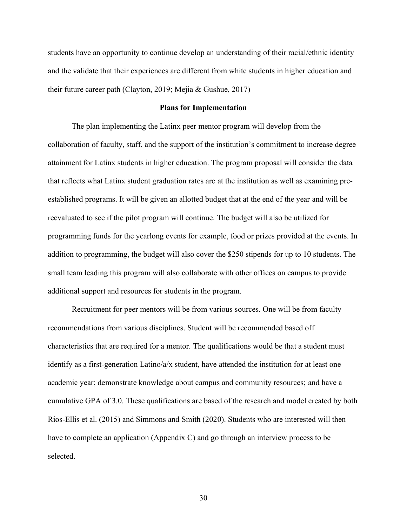students have an opportunity to continue develop an understanding of their racial/ethnic identity and the validate that their experiences are different from white students in higher education and their future career path (Clayton, 2019; Mejia & Gushue, 2017)

#### **Plans for Implementation**

The plan implementing the Latinx peer mentor program will develop from the collaboration of faculty, staff, and the support of the institution's commitment to increase degree attainment for Latinx students in higher education. The program proposal will consider the data that reflects what Latinx student graduation rates are at the institution as well as examining preestablished programs. It will be given an allotted budget that at the end of the year and will be reevaluated to see if the pilot program will continue. The budget will also be utilized for programming funds for the yearlong events for example, food or prizes provided at the events. In addition to programming, the budget will also cover the \$250 stipends for up to 10 students. The small team leading this program will also collaborate with other offices on campus to provide additional support and resources for students in the program.

Recruitment for peer mentors will be from various sources. One will be from faculty recommendations from various disciplines. Student will be recommended based off characteristics that are required for a mentor. The qualifications would be that a student must identify as a first-generation Latino/a/x student, have attended the institution for at least one academic year; demonstrate knowledge about campus and community resources; and have a cumulative GPA of 3.0. These qualifications are based of the research and model created by both Rios-Ellis et al. (2015) and Simmons and Smith (2020). Students who are interested will then have to complete an application (Appendix C) and go through an interview process to be selected.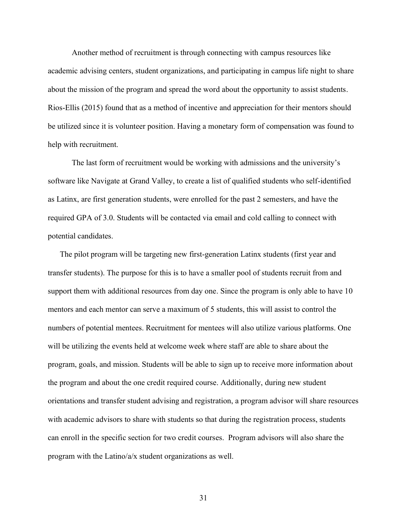Another method of recruitment is through connecting with campus resources like academic advising centers, student organizations, and participating in campus life night to share about the mission of the program and spread the word about the opportunity to assist students. Rios-Ellis (2015) found that as a method of incentive and appreciation for their mentors should be utilized since it is volunteer position. Having a monetary form of compensation was found to help with recruitment.

The last form of recruitment would be working with admissions and the university's software like Navigate at Grand Valley, to create a list of qualified students who self-identified as Latinx, are first generation students, were enrolled for the past 2 semesters, and have the required GPA of 3.0. Students will be contacted via email and cold calling to connect with potential candidates.

The pilot program will be targeting new first-generation Latinx students (first year and transfer students). The purpose for this is to have a smaller pool of students recruit from and support them with additional resources from day one. Since the program is only able to have 10 mentors and each mentor can serve a maximum of 5 students, this will assist to control the numbers of potential mentees. Recruitment for mentees will also utilize various platforms. One will be utilizing the events held at welcome week where staff are able to share about the program, goals, and mission. Students will be able to sign up to receive more information about the program and about the one credit required course. Additionally, during new student orientations and transfer student advising and registration, a program advisor will share resources with academic advisors to share with students so that during the registration process, students can enroll in the specific section for two credit courses. Program advisors will also share the program with the Latino/a/x student organizations as well.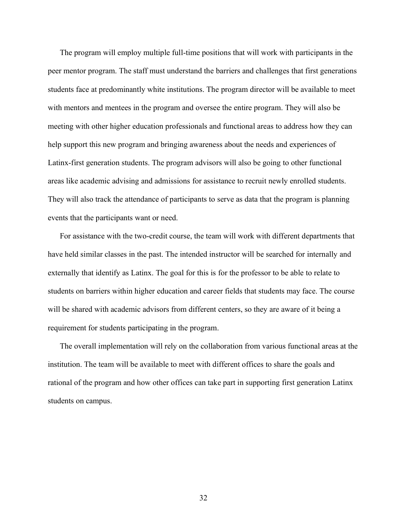The program will employ multiple full-time positions that will work with participants in the peer mentor program. The staff must understand the barriers and challenges that first generations students face at predominantly white institutions. The program director will be available to meet with mentors and mentees in the program and oversee the entire program. They will also be meeting with other higher education professionals and functional areas to address how they can help support this new program and bringing awareness about the needs and experiences of Latinx-first generation students. The program advisors will also be going to other functional areas like academic advising and admissions for assistance to recruit newly enrolled students. They will also track the attendance of participants to serve as data that the program is planning events that the participants want or need.

For assistance with the two-credit course, the team will work with different departments that have held similar classes in the past. The intended instructor will be searched for internally and externally that identify as Latinx. The goal for this is for the professor to be able to relate to students on barriers within higher education and career fields that students may face. The course will be shared with academic advisors from different centers, so they are aware of it being a requirement for students participating in the program.

The overall implementation will rely on the collaboration from various functional areas at the institution. The team will be available to meet with different offices to share the goals and rational of the program and how other offices can take part in supporting first generation Latinx students on campus.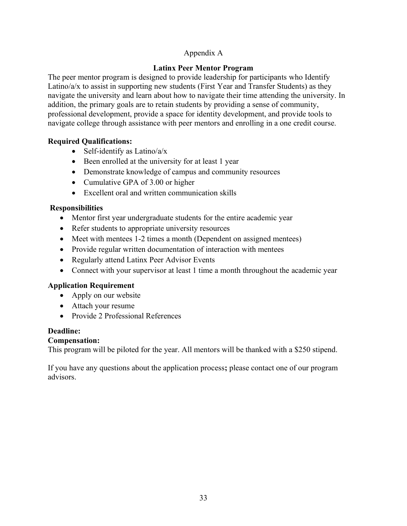### Appendix A

### **Latinx Peer Mentor Program**

The peer mentor program is designed to provide leadership for participants who Identify Latino/a/x to assist in supporting new students (First Year and Transfer Students) as they navigate the university and learn about how to navigate their time attending the university. In addition, the primary goals are to retain students by providing a sense of community, professional development, provide a space for identity development, and provide tools to navigate college through assistance with peer mentors and enrolling in a one credit course.

### **Required Qualifications:**

- Self-identify as Latino/ $a/x$
- Been enrolled at the university for at least 1 year
- Demonstrate knowledge of campus and community resources
- Cumulative GPA of 3.00 or higher
- Excellent oral and written communication skills

### **Responsibilities**

- Mentor first year undergraduate students for the entire academic year
- Refer students to appropriate university resources
- Meet with mentees 1-2 times a month (Dependent on assigned mentees)
- Provide regular written documentation of interaction with mentees
- Regularly attend Latinx Peer Advisor Events
- Connect with your supervisor at least 1 time a month throughout the academic year

### **Application Requirement**

- Apply on our website
- Attach your resume
- Provide 2 Professional References

### **Deadline:**

### **Compensation:**

This program will be piloted for the year. All mentors will be thanked with a \$250 stipend.

If you have any questions about the application process**;** please contact one of our program advisors.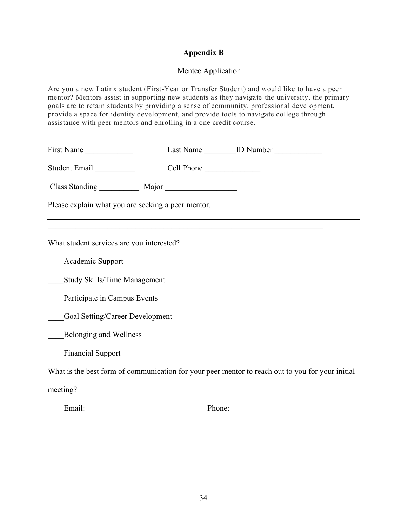### **Appendix B**

### Mentee Application

Are you a new Latinx student (First-Year or Transfer Student) and would like to have a peer mentor? Mentors assist in supporting new students as they navigate the university. the primary goals are to retain students by providing a sense of community, professional development, provide a space for identity development, and provide tools to navigate college through assistance with peer mentors and enrolling in a one credit course.

| First Name                                         |            |                                                                                                  |  |
|----------------------------------------------------|------------|--------------------------------------------------------------------------------------------------|--|
| Student Email                                      | Cell Phone |                                                                                                  |  |
|                                                    |            |                                                                                                  |  |
| Please explain what you are seeking a peer mentor. |            |                                                                                                  |  |
|                                                    |            |                                                                                                  |  |
| What student services are you interested?          |            |                                                                                                  |  |
| Academic Support                                   |            |                                                                                                  |  |
| Study Skills/Time Management                       |            |                                                                                                  |  |
| Participate in Campus Events                       |            |                                                                                                  |  |
| Goal Setting/Career Development                    |            |                                                                                                  |  |
| Belonging and Wellness                             |            |                                                                                                  |  |
| <b>Financial Support</b>                           |            |                                                                                                  |  |
|                                                    |            | What is the best form of communication for your peer mentor to reach out to you for your initial |  |
| meeting?                                           |            |                                                                                                  |  |

\_\_\_\_Email: \_\_\_\_\_\_\_\_\_\_\_\_\_\_\_\_\_\_\_\_\_ \_\_\_\_Phone: \_\_\_\_\_\_\_\_\_\_\_\_\_\_\_\_\_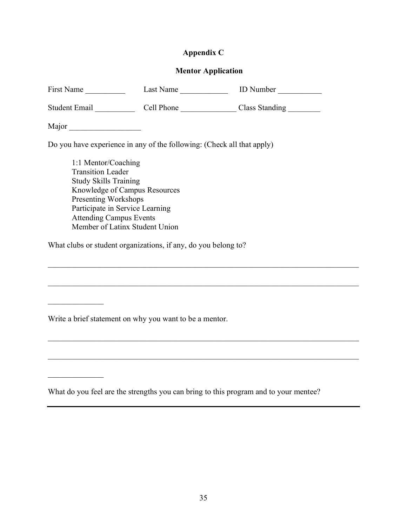## **Appendix C**

### **Mentor Application**

|                                                                | First Name Last Name ID Number                                                                                                                                                                                             |  |  |  |  |  |  |  |
|----------------------------------------------------------------|----------------------------------------------------------------------------------------------------------------------------------------------------------------------------------------------------------------------------|--|--|--|--|--|--|--|
|                                                                |                                                                                                                                                                                                                            |  |  |  |  |  |  |  |
| Major                                                          |                                                                                                                                                                                                                            |  |  |  |  |  |  |  |
|                                                                | Do you have experience in any of the following: (Check all that apply)                                                                                                                                                     |  |  |  |  |  |  |  |
| <b>Transition Leader</b>                                       | 1:1 Mentor/Coaching<br><b>Study Skills Training</b><br>Knowledge of Campus Resources<br><b>Presenting Workshops</b><br>Participate in Service Learning<br><b>Attending Campus Events</b><br>Member of Latinx Student Union |  |  |  |  |  |  |  |
| What clubs or student organizations, if any, do you belong to? |                                                                                                                                                                                                                            |  |  |  |  |  |  |  |
|                                                                |                                                                                                                                                                                                                            |  |  |  |  |  |  |  |
|                                                                |                                                                                                                                                                                                                            |  |  |  |  |  |  |  |
|                                                                |                                                                                                                                                                                                                            |  |  |  |  |  |  |  |

Write a brief statement on why you want to be a mentor.

 $\frac{1}{2}$ 

What do you feel are the strengths you can bring to this program and to your mentee?

 $\mathcal{L}_\mathcal{L} = \{ \mathcal{L}_\mathcal{L} = \{ \mathcal{L}_\mathcal{L} = \{ \mathcal{L}_\mathcal{L} = \{ \mathcal{L}_\mathcal{L} = \{ \mathcal{L}_\mathcal{L} = \{ \mathcal{L}_\mathcal{L} = \{ \mathcal{L}_\mathcal{L} = \{ \mathcal{L}_\mathcal{L} = \{ \mathcal{L}_\mathcal{L} = \{ \mathcal{L}_\mathcal{L} = \{ \mathcal{L}_\mathcal{L} = \{ \mathcal{L}_\mathcal{L} = \{ \mathcal{L}_\mathcal{L} = \{ \mathcal{L}_\mathcal{$ 

 $\mathcal{L}_\text{max} = \frac{1}{2} \sum_{i=1}^n \frac{1}{2} \sum_{j=1}^n \frac{1}{2} \sum_{j=1}^n \frac{1}{2} \sum_{j=1}^n \frac{1}{2} \sum_{j=1}^n \frac{1}{2} \sum_{j=1}^n \frac{1}{2} \sum_{j=1}^n \frac{1}{2} \sum_{j=1}^n \frac{1}{2} \sum_{j=1}^n \frac{1}{2} \sum_{j=1}^n \frac{1}{2} \sum_{j=1}^n \frac{1}{2} \sum_{j=1}^n \frac{1}{2} \sum_{j=1}^n$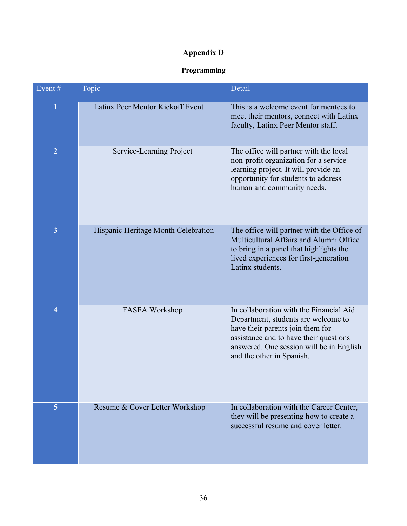## **Appendix D**

### **Programming**

| Event#         | Topic                               | Detail                                                                                                                                                                                                                                |
|----------------|-------------------------------------|---------------------------------------------------------------------------------------------------------------------------------------------------------------------------------------------------------------------------------------|
| $\mathbf{1}$   | Latinx Peer Mentor Kickoff Event    | This is a welcome event for mentees to<br>meet their mentors, connect with Latinx<br>faculty, Latinx Peer Mentor staff.                                                                                                               |
| $\overline{2}$ | Service-Learning Project            | The office will partner with the local<br>non-profit organization for a service-<br>learning project. It will provide an<br>opportunity for students to address<br>human and community needs.                                         |
| $\overline{3}$ | Hispanic Heritage Month Celebration | The office will partner with the Office of<br>Multicultural Affairs and Alumni Office<br>to bring in a panel that highlights the<br>lived experiences for first-generation<br>Latinx students.                                        |
| 4              | <b>FASFA Workshop</b>               | In collaboration with the Financial Aid<br>Department, students are welcome to<br>have their parents join them for<br>assistance and to have their questions<br>answered. One session will be in English<br>and the other in Spanish. |
| $\overline{5}$ | Resume & Cover Letter Workshop      | In collaboration with the Career Center,<br>they will be presenting how to create a<br>successful resume and cover letter.                                                                                                            |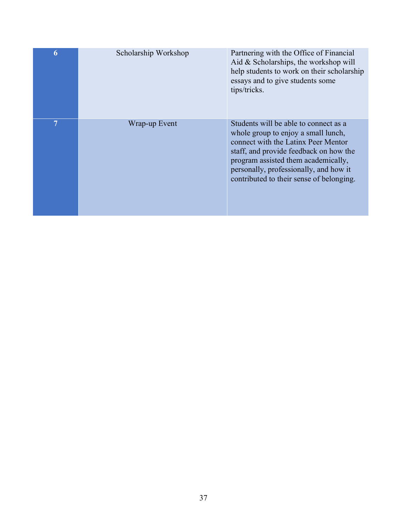| 6 | Scholarship Workshop | Partnering with the Office of Financial<br>Aid $& Scholarships,$ the workshop will<br>help students to work on their scholarship<br>essays and to give students some<br>tips/tricks.                                                                                                       |
|---|----------------------|--------------------------------------------------------------------------------------------------------------------------------------------------------------------------------------------------------------------------------------------------------------------------------------------|
| 7 | Wrap-up Event        | Students will be able to connect as a<br>whole group to enjoy a small lunch,<br>connect with the Latinx Peer Mentor<br>staff, and provide feedback on how the<br>program assisted them academically,<br>personally, professionally, and how it<br>contributed to their sense of belonging. |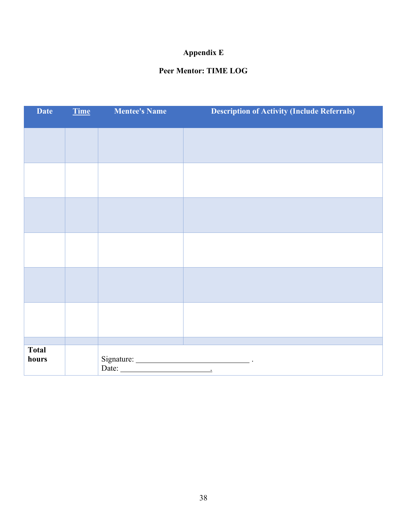## **Appendix E**

### **Peer Mentor: TIME LOG**

| <b>Date</b>  | <b>Time</b> | <b>Mentee's Name</b>  | <b>Description of Activity (Include Referrals)</b> |
|--------------|-------------|-----------------------|----------------------------------------------------|
|              |             |                       |                                                    |
|              |             |                       |                                                    |
|              |             |                       |                                                    |
|              |             |                       |                                                    |
|              |             |                       |                                                    |
|              |             |                       |                                                    |
|              |             |                       |                                                    |
|              |             |                       |                                                    |
|              |             |                       |                                                    |
|              |             |                       |                                                    |
|              |             |                       |                                                    |
|              |             |                       |                                                    |
| <b>Total</b> |             |                       |                                                    |
| hours        |             | Date: $\qquad \qquad$ |                                                    |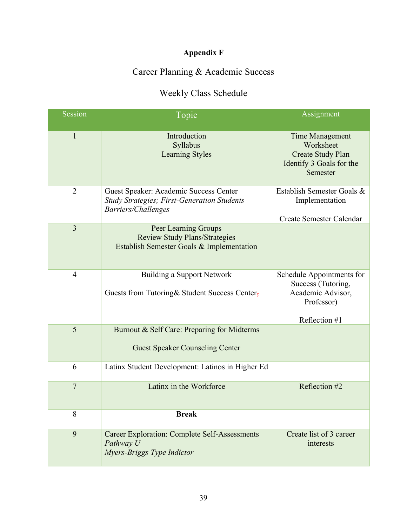# **Appendix F**

# Career Planning & Academic Success

# Weekly Class Schedule

| Session        | Topic                                                                                                               | Assignment                                                                                       |
|----------------|---------------------------------------------------------------------------------------------------------------------|--------------------------------------------------------------------------------------------------|
| $\mathbf{1}$   | Introduction<br>Syllabus<br><b>Learning Styles</b>                                                                  | Time Management<br>Worksheet<br><b>Create Study Plan</b><br>Identify 3 Goals for the<br>Semester |
| $\overline{2}$ | Guest Speaker: Academic Success Center<br><b>Study Strategies; First-Generation Students</b><br>Barriers/Challenges | Establish Semester Goals &<br>Implementation<br>Create Semester Calendar                         |
| 3              | Peer Learning Groups<br><b>Review Study Plans/Strategies</b><br>Establish Semester Goals & Implementation           |                                                                                                  |
| $\overline{4}$ | <b>Building a Support Network</b><br>Guests from Tutoring& Student Success Center-                                  | Schedule Appointments for<br>Success (Tutoring,<br>Academic Advisor,<br>Professor)               |
| 5              |                                                                                                                     | Reflection #1                                                                                    |
|                | Burnout & Self Care: Preparing for Midterms<br><b>Guest Speaker Counseling Center</b>                               |                                                                                                  |
| 6              | Latinx Student Development: Latinos in Higher Ed                                                                    |                                                                                                  |
| $\overline{7}$ | Latinx in the Workforce                                                                                             | Reflection #2                                                                                    |
| 8              | <b>Break</b>                                                                                                        |                                                                                                  |
| 9              | <b>Career Exploration: Complete Self-Assessments</b><br>Pathway U<br>Myers-Briggs Type Indictor                     | Create list of 3 career<br>interests                                                             |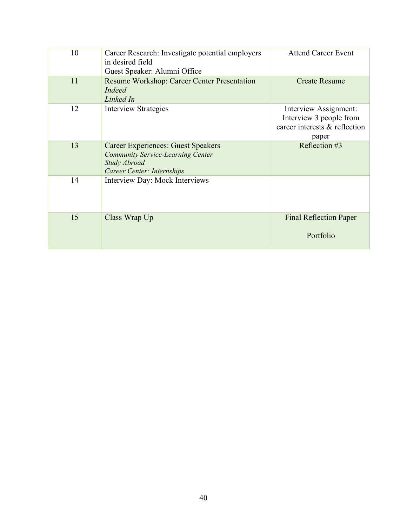| 10 | Career Research: Investigate potential employers<br>in desired field<br>Guest Speaker: Alumni Office                         | <b>Attend Career Event</b>                                                                 |
|----|------------------------------------------------------------------------------------------------------------------------------|--------------------------------------------------------------------------------------------|
| 11 | Resume Workshop: Career Center Presentation<br>Indeed<br>Linked In                                                           | <b>Create Resume</b>                                                                       |
| 12 | <b>Interview Strategies</b>                                                                                                  | Interview Assignment:<br>Interview 3 people from<br>career interests & reflection<br>paper |
| 13 | Career Experiences: Guest Speakers<br><b>Community Service-Learning Center</b><br>Study Abroad<br>Career Center: Internships | Reflection #3                                                                              |
| 14 | Interview Day: Mock Interviews                                                                                               |                                                                                            |
| 15 | Class Wrap Up                                                                                                                | <b>Final Reflection Paper</b><br>Portfolio                                                 |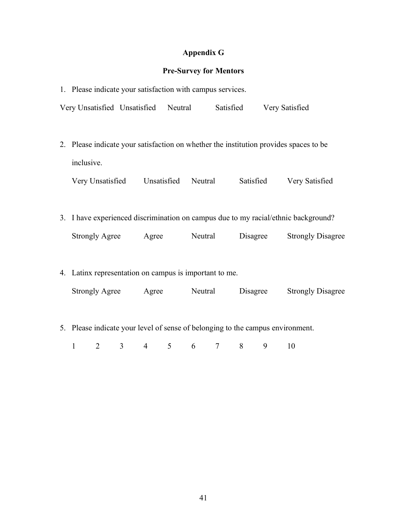### **Appendix G**

#### **Pre-Survey for Mentors**

1. Please indicate your satisfaction with campus services. Very Unsatisfied Unsatisfied Neutral Satisfied Very Satisfied 2. Please indicate your satisfaction on whether the institution provides spaces to be inclusive. Very Unsatisfied Unsatisfied Neutral Satisfied Very Satisfied 3. I have experienced discrimination on campus due to my racial/ethnic background? Strongly Agree Agree Neutral Disagree Strongly Disagree 4. Latinx representation on campus is important to me. Strongly Agree Agree Neutral Disagree Strongly Disagree 5. Please indicate your level of sense of belonging to the campus environment.

1 2 3 4 5 6 7 8 9 10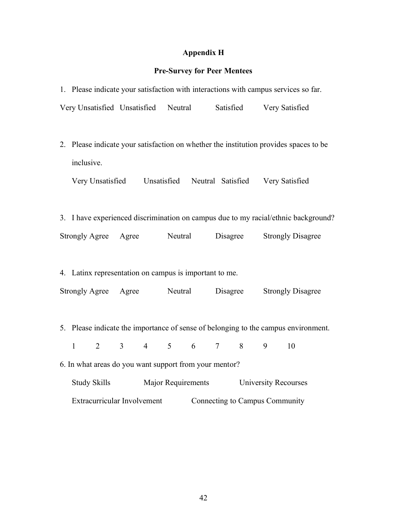## **Appendix H**

## **Pre-Survey for Peer Mentees**

| 1. Please indicate your satisfaction with interactions with campus services so far.   |                |                                                        |  |         |                           |                 |          |                             |                                                                                    |  |
|---------------------------------------------------------------------------------------|----------------|--------------------------------------------------------|--|---------|---------------------------|-----------------|----------|-----------------------------|------------------------------------------------------------------------------------|--|
|                                                                                       |                |                                                        |  |         |                           |                 |          |                             | Very Unsatisfied Unsatisfied Neutral Satisfied Very Satisfied                      |  |
|                                                                                       |                |                                                        |  |         |                           |                 |          |                             |                                                                                    |  |
| 2. Please indicate your satisfaction on whether the institution provides spaces to be |                |                                                        |  |         |                           |                 |          |                             |                                                                                    |  |
| inclusive.                                                                            |                |                                                        |  |         |                           |                 |          |                             |                                                                                    |  |
|                                                                                       |                |                                                        |  |         |                           |                 |          |                             | Very Unsatisfied Unsatisfied Neutral Satisfied Very Satisfied                      |  |
|                                                                                       |                |                                                        |  |         |                           |                 |          |                             |                                                                                    |  |
|                                                                                       |                |                                                        |  |         |                           |                 |          |                             | 3. I have experienced discrimination on campus due to my racial/ethnic background? |  |
|                                                                                       |                | Strongly Agree Agree                                   |  | Neutral |                           |                 | Disagree |                             | <b>Strongly Disagree</b>                                                           |  |
|                                                                                       |                |                                                        |  |         |                           |                 |          |                             |                                                                                    |  |
|                                                                                       |                | 4. Latinx representation on campus is important to me. |  |         |                           |                 |          |                             |                                                                                    |  |
|                                                                                       |                | Strongly Agree Agree Neutral                           |  |         |                           |                 | Disagree |                             | <b>Strongly Disagree</b>                                                           |  |
|                                                                                       |                |                                                        |  |         |                           |                 |          |                             |                                                                                    |  |
|                                                                                       |                |                                                        |  |         |                           |                 |          |                             | 5. Please indicate the importance of sense of belonging to the campus environment. |  |
| $\mathbf{1}$                                                                          | $\overline{2}$ | 3 <sup>1</sup>                                         |  |         | $4 \quad 5 \quad 6$       | $7\overline{ }$ | 8        | 9                           | 10                                                                                 |  |
|                                                                                       |                | 6. In what areas do you want support from your mentor? |  |         |                           |                 |          |                             |                                                                                    |  |
|                                                                                       | Study Skills   |                                                        |  |         | <b>Major Requirements</b> |                 |          | <b>University Recourses</b> |                                                                                    |  |
| Extracurricular Involvement<br>Connecting to Campus Community                         |                |                                                        |  |         |                           |                 |          |                             |                                                                                    |  |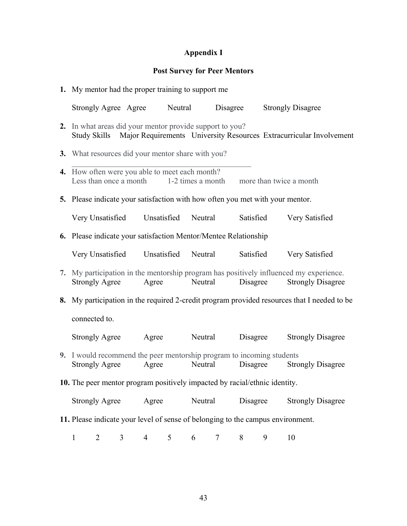## **Appendix I**

## **Post Survey for Peer Mentors**

| 1. My mentor had the proper training to support me                                                                                           |  |                |   |                  |          |           |   |                                                                                                                    |  |  |  |
|----------------------------------------------------------------------------------------------------------------------------------------------|--|----------------|---|------------------|----------|-----------|---|--------------------------------------------------------------------------------------------------------------------|--|--|--|
| Strongly Agree Agree Neutral                                                                                                                 |  |                |   |                  | Disagree |           |   | <b>Strongly Disagree</b>                                                                                           |  |  |  |
| 2. In what areas did your mentor provide support to you?<br>Study Skills Major Requirements University Resources Extracurricular Involvement |  |                |   |                  |          |           |   |                                                                                                                    |  |  |  |
| 3. What resources did your mentor share with you?                                                                                            |  |                |   |                  |          |           |   |                                                                                                                    |  |  |  |
| 4. How often were you able to meet each month?<br>Less than once a month 1-2 times a month more than twice a month                           |  |                |   |                  |          |           |   |                                                                                                                    |  |  |  |
| 5. Please indicate your satisfaction with how often you met with your mentor.                                                                |  |                |   |                  |          |           |   |                                                                                                                    |  |  |  |
| Very Unsatisfied Unsatisfied Neutral Satisfied                                                                                               |  |                |   |                  |          |           |   | Very Satisfied                                                                                                     |  |  |  |
| 6. Please indicate your satisfaction Mentor/Mentee Relationship                                                                              |  |                |   |                  |          |           |   |                                                                                                                    |  |  |  |
| Very Unsatisfied Unsatisfied                                                                                                                 |  |                |   | Neutral          |          | Satisfied |   | Very Satisfied                                                                                                     |  |  |  |
| Strongly Agree Agree                                                                                                                         |  |                |   | Neutral Disagree |          |           |   | 7. My participation in the mentorship program has positively influenced my experience.<br><b>Strongly Disagree</b> |  |  |  |
|                                                                                                                                              |  |                |   |                  |          |           |   | 8. My participation in the required 2-credit program provided resources that I needed to be                        |  |  |  |
| connected to.                                                                                                                                |  |                |   |                  |          |           |   |                                                                                                                    |  |  |  |
| <b>Strongly Agree</b>                                                                                                                        |  |                |   | Agree Neutral    |          | Disagree  |   | <b>Strongly Disagree</b>                                                                                           |  |  |  |
| 9. I would recommend the peer mentorship program to incoming students<br><b>Strongly Agree</b>                                               |  | Agree          |   | Neutral          |          | Disagree  |   | <b>Strongly Disagree</b>                                                                                           |  |  |  |
| 10. The peer mentor program positively impacted by racial/ethnic identity.                                                                   |  |                |   |                  |          |           |   |                                                                                                                    |  |  |  |
| <b>Strongly Agree</b>                                                                                                                        |  | Agree          |   | Neutral          |          | Disagree  |   | <b>Strongly Disagree</b>                                                                                           |  |  |  |
| 11. Please indicate your level of sense of belonging to the campus environment.                                                              |  |                |   |                  |          |           |   |                                                                                                                    |  |  |  |
| 3<br>$\mathbf{1}$<br>$\overline{2}$                                                                                                          |  | $\overline{4}$ | 5 | 6                | 7        | 8         | 9 | 10                                                                                                                 |  |  |  |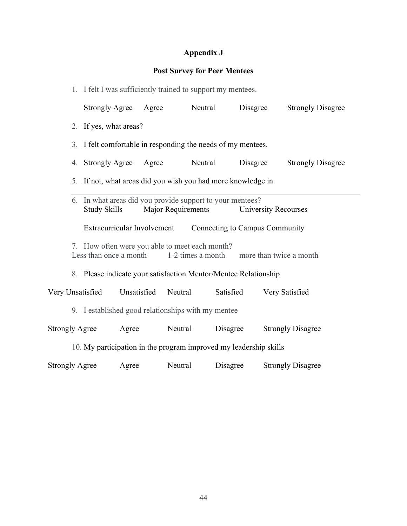# **Appendix J**

## **Post Survey for Peer Mentees**

|                                                                                   | 1. I felt I was sufficiently trained to support my mentees. |                                                                   |                           |                                |                             |  |  |  |  |  |  |
|-----------------------------------------------------------------------------------|-------------------------------------------------------------|-------------------------------------------------------------------|---------------------------|--------------------------------|-----------------------------|--|--|--|--|--|--|
|                                                                                   | <b>Strongly Agree</b>                                       | Agree                                                             | Neutral                   | Disagree                       | <b>Strongly Disagree</b>    |  |  |  |  |  |  |
|                                                                                   | 2. If yes, what areas?                                      |                                                                   |                           |                                |                             |  |  |  |  |  |  |
|                                                                                   |                                                             | 3. I felt comfortable in responding the needs of my mentees.      |                           |                                |                             |  |  |  |  |  |  |
|                                                                                   | 4. Strongly Agree                                           | Agree                                                             | Neutral                   | Disagree                       | <b>Strongly Disagree</b>    |  |  |  |  |  |  |
|                                                                                   |                                                             | 5. If not, what areas did you wish you had more knowledge in.     |                           |                                |                             |  |  |  |  |  |  |
|                                                                                   | <b>Study Skills</b>                                         | 6. In what areas did you provide support to your mentees?         | <b>Major Requirements</b> |                                | <b>University Recourses</b> |  |  |  |  |  |  |
|                                                                                   |                                                             | Extracurricular Involvement                                       |                           | Connecting to Campus Community |                             |  |  |  |  |  |  |
|                                                                                   | Less than once a month                                      | 7. How often were you able to meet each month?                    | 1-2 times a month         |                                | more than twice a month     |  |  |  |  |  |  |
|                                                                                   |                                                             | 8. Please indicate your satisfaction Mentor/Mentee Relationship   |                           |                                |                             |  |  |  |  |  |  |
| Very Unsatisfied                                                                  |                                                             | Unsatisfied                                                       | Neutral                   | Satisfied                      | Very Satisfied              |  |  |  |  |  |  |
|                                                                                   |                                                             | 9. I established good relationships with my mentee                |                           |                                |                             |  |  |  |  |  |  |
| Neutral<br>Disagree<br><b>Strongly Agree</b><br>Agree<br><b>Strongly Disagree</b> |                                                             |                                                                   |                           |                                |                             |  |  |  |  |  |  |
|                                                                                   |                                                             | 10. My participation in the program improved my leadership skills |                           |                                |                             |  |  |  |  |  |  |
| <b>Strongly Agree</b>                                                             |                                                             | Agree                                                             | Neutral                   | Disagree                       | <b>Strongly Disagree</b>    |  |  |  |  |  |  |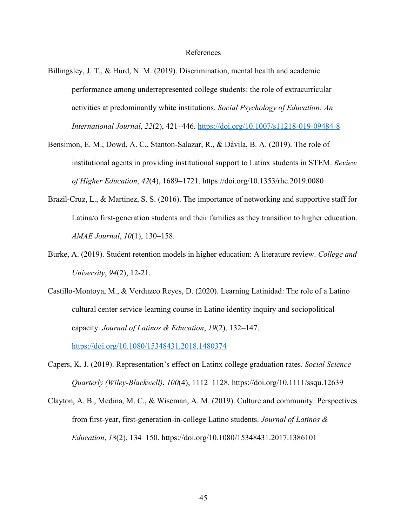#### References

- Billingsley, J. T., & Hurd, N. M. (2019). Discrimination, mental health and academic performance among underrepresented college students: the role of extracurricular activities at predominantly white institutions. *Social Psychology of Education: An International Journal*, *22*(2), 421–446. https://doi.org/10.1007/s11218-019-09484-8
- Bensimon, E. M., Dowd, A. C., Stanton-Salazar, R., & Dávila, B. A. (2019). The role of institutional agents in providing institutional support to Latinx students in STEM. *Review of Higher Education*, *42*(4), 1689–1721. https://doi.org/10.1353/rhe.2019.0080
- Brazil-Cruz, L., & Martinez, S. S. (2016). The importance of networking and supportive staff for Latina/o first-generation students and their families as they transition to higher education. *AMAE Journal*, *10*(1), 130–158.
- Burke, A. (2019). Student retention models in higher education: A literature review. *College and University*, *94*(2), 12-21.
- Castillo-Montoya, M., & Verduzco Reyes, D. (2020). Learning Latinidad: The role of a Latino cultural center service-learning course in Latino identity inquiry and sociopolitical capacity. *Journal of Latinos & Education*, *19*(2), 132–147.

https://doi.org/10.1080/15348431.2018.1480374

- Capers, K. J. (2019). Representation's effect on Latinx college graduation rates. *Social Science Quarterly (Wiley-Blackwell)*, *100*(4), 1112–1128. https://doi.org/10.1111/ssqu.12639
- Clayton, A. B., Medina, M. C., & Wiseman, A. M. (2019). Culture and community: Perspectives from first-year, first-generation-in-college Latino students. *Journal of Latinos & Education*, *18*(2), 134–150. https://doi.org/10.1080/15348431.2017.1386101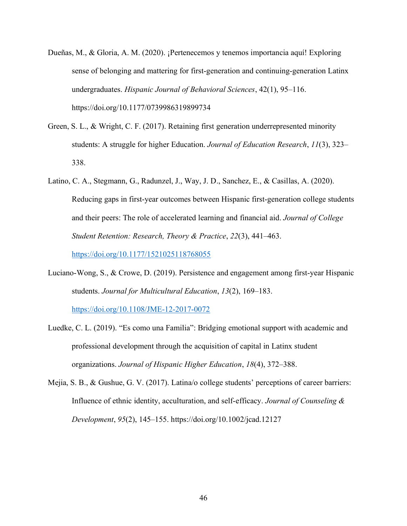- Dueñas, M., & Gloria, A. M. (2020). ¡Pertenecemos y tenemos importancia aquí! Exploring sense of belonging and mattering for first-generation and continuing-generation Latinx undergraduates. *Hispanic Journal of Behavioral Sciences*, 42(1), 95–116. https://doi.org/10.1177/0739986319899734
- Green, S. L., & Wright, C. F. (2017). Retaining first generation underrepresented minority students: A struggle for higher Education. *Journal of Education Research*, *11*(3), 323– 338.
- Latino, C. A., Stegmann, G., Radunzel, J., Way, J. D., Sanchez, E., & Casillas, A. (2020). Reducing gaps in first-year outcomes between Hispanic first-generation college students and their peers: The role of accelerated learning and financial aid. *Journal of College Student Retention: Research, Theory & Practice*, *22*(3), 441–463.

https://doi.org/10.1177/1521025118768055

- Luciano-Wong, S., & Crowe, D. (2019). Persistence and engagement among first-year Hispanic students. *Journal for Multicultural Education*, *13*(2), 169–183. https://doi.org/10.1108/JME-12-2017-0072
- Luedke, C. L. (2019). "Es como una Familia": Bridging emotional support with academic and professional development through the acquisition of capital in Latinx student organizations. *Journal of Hispanic Higher Education*, *18*(4), 372–388.
- Mejia, S. B., & Gushue, G. V. (2017). Latina/o college students' perceptions of career barriers: Influence of ethnic identity, acculturation, and self-efficacy. *Journal of Counseling & Development*, *95*(2), 145–155. https://doi.org/10.1002/jcad.12127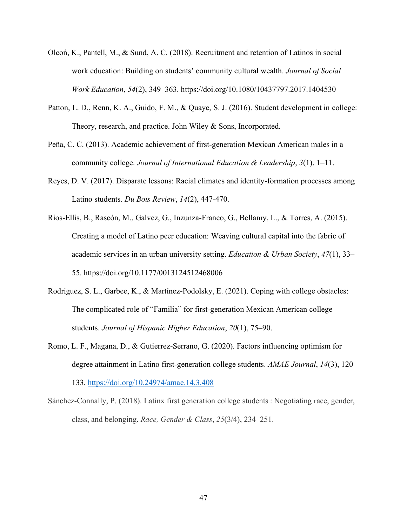- Olcoń, K., Pantell, M., & Sund, A. C. (2018). Recruitment and retention of Latinos in social work education: Building on students' community cultural wealth. *Journal of Social Work Education*, *54*(2), 349–363. https://doi.org/10.1080/10437797.2017.1404530
- Patton, L. D., Renn, K. A., Guido, F. M., & Quaye, S. J. (2016). Student development in college: Theory, research, and practice. John Wiley & Sons, Incorporated.
- Peña, C. C. (2013). Academic achievement of first-generation Mexican American males in a community college. *Journal of International Education & Leadership*, *3*(1), 1–11.
- Reyes, D. V. (2017). Disparate lessons: Racial climates and identity-formation processes among Latino students. *Du Bois Review*, *14*(2), 447-470.
- Rios-Ellis, B., Rascón, M., Galvez, G., Inzunza-Franco, G., Bellamy, L., & Torres, A. (2015). Creating a model of Latino peer education: Weaving cultural capital into the fabric of academic services in an urban university setting. *Education & Urban Society*, *47*(1), 33– 55. https://doi.org/10.1177/0013124512468006
- Rodriguez, S. L., Garbee, K., & Martínez-Podolsky, E. (2021). Coping with college obstacles: The complicated role of "Familia" for first-generation Mexican American college students. *Journal of Hispanic Higher Education*, *20*(1), 75–90.
- Romo, L. F., Magana, D., & Gutierrez-Serrano, G. (2020). Factors influencing optimism for degree attainment in Latino first-generation college students. *AMAE Journal*, *14*(3), 120– 133. https://doi.org/10.24974/amae.14.3.408
- Sánchez-Connally, P. (2018). Latinx first generation college students : Negotiating race, gender, class, and belonging. *Race, Gender & Class*, *25*(3/4), 234–251.